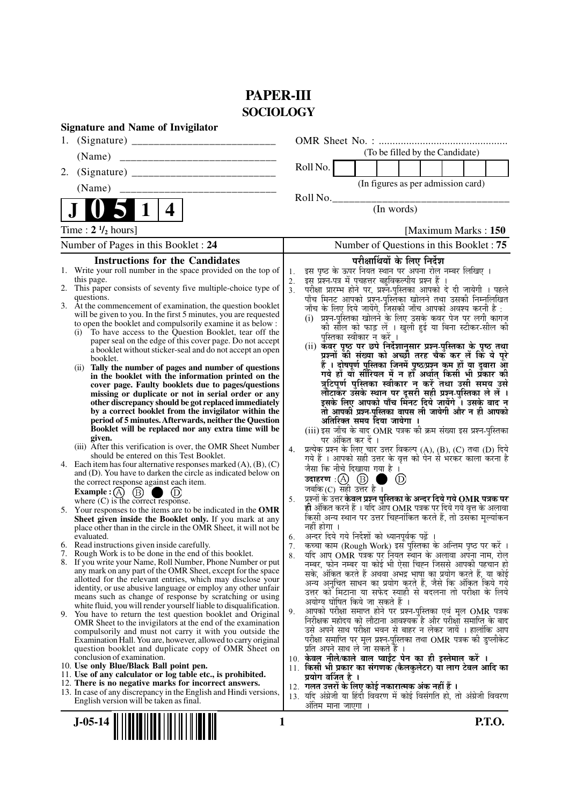# **PAPER-III SOCIOLOGY**

| <b>Signature and Name of Invigilator</b>                                                                                 |                                                                                                                                                       |
|--------------------------------------------------------------------------------------------------------------------------|-------------------------------------------------------------------------------------------------------------------------------------------------------|
| 1.                                                                                                                       |                                                                                                                                                       |
| (Name)                                                                                                                   | (To be filled by the Candidate)                                                                                                                       |
| 2.                                                                                                                       | Roll No.                                                                                                                                              |
| (Name)                                                                                                                   | (In figures as per admission card)                                                                                                                    |
|                                                                                                                          | Roll No.                                                                                                                                              |
| 4                                                                                                                        | (In words)                                                                                                                                            |
| Time : $2 \frac{1}{2}$ hours]                                                                                            | [Maximum Marks: 150]                                                                                                                                  |
| Number of Pages in this Booklet: 24                                                                                      | Number of Questions in this Booklet : 75                                                                                                              |
| <b>Instructions for the Candidates</b>                                                                                   | परीक्षार्थियों के लिए निर्देश                                                                                                                         |
| 1. Write your roll number in the space provided on the top of                                                            | इस पृष्ठ के ऊपर नियत स्थान पर अपना रोल नम्बर लिखिए ।<br>1.                                                                                            |
| this page.                                                                                                               | इस प्रश्न-पत्र में पचहत्तर बहुविकल्पीय प्रश्न हैं ।<br>2.                                                                                             |
| 2. This paper consists of seventy five multiple-choice type of<br>questions.                                             | परीक्षा प्रारम्भ होने पर, प्रश्नॅ-पुस्तिका आपको दे दी जायेगी । पहले<br>3 <sub>1</sub><br>पाँच मिनट आपको प्रश्न-पुस्तिका खोलने तथा उसकी निम्नलिखित     |
| 3. At the commencement of examination, the question booklet                                                              | जाँच के लिए दिये जायेंगे, जिसकी जाँच आपको अवश्य करनी है :                                                                                             |
| will be given to you. In the first 5 minutes, you are requested                                                          | (i) प्रश्न-पुस्तिका खोलने के लिए उसके कवर पेज पर लगी कागज                                                                                             |
| to open the booklet and compulsorily examine it as below :                                                               | को सील को फाड़ लें । खुली हुई या बिना स्टीकर-सील की                                                                                                   |
| To have access to the Question Booklet, tear off the<br>(i)<br>paper seal on the edge of this cover page. Do not accept  | पुस्तिका स्वीकार न करें ।                                                                                                                             |
| a booklet without sticker-seal and do not accept an open                                                                 | (ii) कवर पृष्ठ पर छपे निर्देशानुसार प्रश्न-पुस्तिका के पृष्ठ तथा                                                                                      |
| booklet.                                                                                                                 | प्रश्नों की संख्या को अच्छौ तरह चैक कर लें कि ये पूरे                                                                                                 |
| Tally the number of pages and number of questions<br>(i)<br>in the booklet with the information printed on the           | हैं । दोषपूर्ण पुस्तिका जि़नमें पृष्ठ/प्रश्न कूम हों या दुबारा आूँ<br>गये हों या सीरियल में न हों अर्थात् किसी भी प्रकार की                           |
| cover page. Faulty booklets due to pages/questions                                                                       | त्रुटिपूर्ण पुस्तिका स्वीकार न करें तथा उसी समय उसे                                                                                                   |
| missing or duplicate or not in serial order or any                                                                       | लौटाकेर उसके स्थान पर दूसरी सही प्रश्न-पुस्तिका ले लें ।                                                                                              |
| other discrepancy should be got replaced immediately                                                                     | इसके लिए आपको पाँच मिंनट दिये जायेंगे ँ। उसके बाद न                                                                                                   |
| by a correct booklet from the invigilator within the<br>period of 5 minutes. Afterwards, neither the Question            | तो आपकी प्रश्न-पुस्तिका वापस ली जायेगी और न ही आपको<br>अतिरिक्त समय दिया जायेगा ।                                                                     |
| Booklet will be replaced nor any extra time will be                                                                      | (iii) इस जाँच के बाद OMR पत्रक की क्रम संख्या इस प्रश्न-परितका                                                                                        |
| given.                                                                                                                   | पर अंकित कर दें ।                                                                                                                                     |
| (iii) After this verification is over, the OMR Sheet Number                                                              | प्रत्येक प्रश्न के लिए चार उत्तर विकल्प (A), (B), (C) तथा (D) दिये<br>4.                                                                              |
| should be entered on this Test Booklet.<br>4. Each item has four alternative responses marked $(A)$ , $(B)$ , $(C)$      | गये हैं । आपको सही उत्तर के वृत्त को पेन से भरकर काला करना है                                                                                         |
| and (D). You have to darken the circle as indicated below on                                                             | जैसा कि नीचे दिखाया गया है।                                                                                                                           |
| the correct response against each item.                                                                                  | $\circled{\scriptstyle D}$                                                                                                                            |
| Example : $(A)$ $(B)$<br>$\begin{array}{c} \hline \end{array}$                                                           | जबकि $(C)$ सही उत्तर है।                                                                                                                              |
| where $(C)$ is the correct response.                                                                                     | प्रश्नों के उत्तर <b>केवल प्रश्न पुस्तिका के अन्दर दिये गये OMR पत्रक पर</b><br>5.<br>ही अंकित करने हैं । यदि ऑप OMR पत्रक पर दिये गये वृत्त के अलावा |
| 5. Your responses to the items are to be indicated in the OMR<br>Sheet given inside the Booklet only. If you mark at any | किसी अन्य स्थान पर उत्तर चिह्नांकित करते हैं, तो उसका मूल्यांकन                                                                                       |
| place other than in the circle in the OMR Sheet, it will not be                                                          | नहीं होगा ।                                                                                                                                           |
| evaluated.                                                                                                               | अन्दर दिये गये निर्देशों को ध्यानपूर्वक पढ़ें ।<br>6.                                                                                                 |
| 6. Read instructions given inside carefully.<br>7. Rough Work is to be done in the end of this booklet.                  | कच्चा काम (Rough Work) इस पुस्तिका के अन्तिम पृष्ठ पर करें ।<br>7.                                                                                    |
| 8. If you write your Name, Roll Number, Phone Number or put                                                              | र्याद आप OMR पत्रक पर नियत स्थान के अलावा अपना नाम, रोल<br>8.<br>नम्बर, फोन नम्बर या कोई भी ऐसा चिह्न जिससे आपकी पहचान हो                             |
| any mark on any part of the OMR Sheet, except for the space                                                              | सके, अंकित करते हैं अथवा अभद्र भाषा का प्रयोग करते हैं, या कोई                                                                                        |
| allotted for the relevant entries, which may disclose your                                                               | अन्य अनुचित साधन का प्रयोग करते हैं, जैसे कि अंकित किये गये                                                                                           |
| identity, or use abusive language or employ any other unfair<br>means such as change of response by scratching or using  | उत्तर को मिटाना या सफेद स्याही से बदलना तो परीक्षा के लिये                                                                                            |
| white fluid, you will render yourself liable to disqualification.                                                        | अयोग्य घोषित किये जा सकते हैं ।                                                                                                                       |
| 9. You have to return the test question booklet and Original                                                             | आपको परीक्षा समाप्त होने पर प्रश्न-पुस्तिका एवं मूल OMR पत्रक<br>9.                                                                                   |
| OMR Sheet to the invigilators at the end of the examination                                                              | निरीक्षक महोदय को लौटाना आवश्यक है और परीक्षा समाप्ति के बाद<br>उसे अपने साथ परीक्षा भवन से बाहर न लेकर जायें । हालांकि आप                            |
| compulsorily and must not carry it with you outside the<br>Examination Hall. You are, however, allowed to carry original | परीक्षा समाप्ति पर मूल प्रश्न-पुस्तिका तथा OMR पत्रक की डुप्लीकेट                                                                                     |
| question booklet and duplicate copy of OMR Sheet on                                                                      | प्रति अपने साथ ले जा सकते हैं ।                                                                                                                       |
| conclusion of examination.                                                                                               | 10. केवल नीले/काले बाल प्वाईंट पेन का ही इस्तेमाल करें ।                                                                                              |
| 10. Use only Blue/Black Ball point pen.<br>11. Use of any calculator or log table etc., is prohibited.                   | 11. किसी भी प्रकार का संगणक (कैलकुलेटर) या लाग टेबल आदि का                                                                                            |
| 12. There is no negative marks for incorrect answers.                                                                    | प्रयोग वर्जित है ।                                                                                                                                    |
| 13. In case of any discrepancy in the English and Hindi versions,                                                        | 12.  गलत उत्तरों के लिए कोई नकारात्मक अंक नहीं हैं ।<br>13. यदि अंग्रेजी या हिंदी विवरण में कोई विसंगति हो, तो अंग्रेजी विवरण                         |
| English version will be taken as final.                                                                                  | अंतिम माना जाएगा                                                                                                                                      |
|                                                                                                                          |                                                                                                                                                       |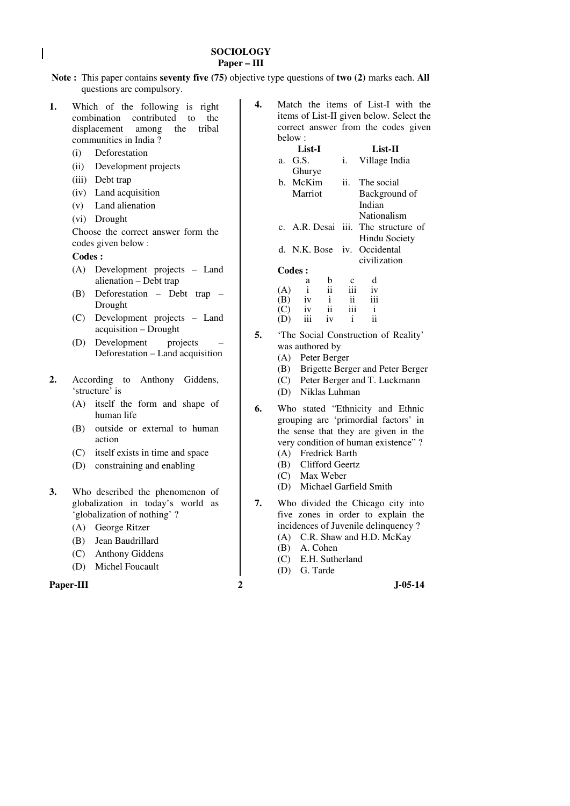### **SOCIOLOGY Paper – III**

- **Note :** This paper contains **seventy five (75)** objective type questions of **two (2)** marks each. **All** questions are compulsory.
- **1.** Which of the following is right combination contributed to the displacement among the tribal communities in India ?
	- (i) Deforestation
	- (ii) Development projects
	- (iii) Debt trap
	- (iv) Land acquisition
	- (v) Land alienation
	- (vi) Drought

 Choose the correct answer form the codes given below :

### **Codes :**

- (A) Development projects Land alienation – Debt trap
- (B) Deforestation Debt trap Drought
- (C) Development projects Land acquisition – Drought
- (D) Development projects Deforestation – Land acquisition
- **2.** According to Anthony Giddens, 'structure' is
	- (A) itself the form and shape of human life
	- (B) outside or external to human action
	- (C) itself exists in time and space
	- (D) constraining and enabling
- **3.** Who described the phenomenon of globalization in today's world as 'globalization of nothing' ?
	- (A) George Ritzer
	- (B) Jean Baudrillard
	- (C) Anthony Giddens
	- (D) Michel Foucault

```
Paper-III 2 J-05-14
```

| 4. | Match the items of List-I with the       |  |               |         |  |  |
|----|------------------------------------------|--|---------------|---------|--|--|
|    | items of List-II given below. Select the |  |               |         |  |  |
|    | correct answer from the codes given      |  |               |         |  |  |
|    | below:                                   |  |               |         |  |  |
|    | List-I                                   |  |               | List-II |  |  |
|    | $G \subseteq \mathbb{C}$                 |  | Village India |         |  |  |

|     |        |              |              |     |           | $\cdots$ , $\cdots$ , $\cdots$      |
|-----|--------|--------------|--------------|-----|-----------|-------------------------------------|
|     |        | Ghurye       |              |     |           |                                     |
|     |        | b. McKim     |              | ii. |           | The social                          |
|     |        | Marriot      |              |     |           | Background of                       |
|     |        |              |              |     | Indian    |                                     |
|     |        |              |              |     |           | Nationalism                         |
|     |        |              |              |     |           | c. A.R. Desai iii. The structure of |
|     |        |              |              |     |           | Hindu Society                       |
|     |        |              |              |     |           | d. N.K. Bose iv. Occidental         |
|     |        |              |              |     |           | civilization                        |
|     | Codes: |              |              |     |           |                                     |
|     |        | a            | b            |     | d         |                                     |
| (A) |        | $\mathbf{i}$ | ii           | iii | iv<br>iii |                                     |
| (B) |        | iv           | $\mathbf{i}$ |     |           |                                     |
|     |        | iv           |              |     | i         |                                     |

**5.** 'The Social Construction of Reality' was authored by

(D) iii iv i ii

- (A) Peter Berger
- (B) Brigette Berger and Peter Berger
- (C) Peter Berger and T. Luckmann
- (D) Niklas Luhman
- **6.** Who stated "Ethnicity and Ethnic grouping are 'primordial factors' in the sense that they are given in the very condition of human existence" ?
	- (A) Fredrick Barth
	- (B) Clifford Geertz
	- (C) Max Weber
	- (D) Michael Garfield Smith
- **7.** Who divided the Chicago city into five zones in order to explain the incidences of Juvenile delinquency ?
	- (A) C.R. Shaw and H.D. McKay
	- (B) A. Cohen
	- (C) E.H. Sutherland
	- (D) G. Tarde
-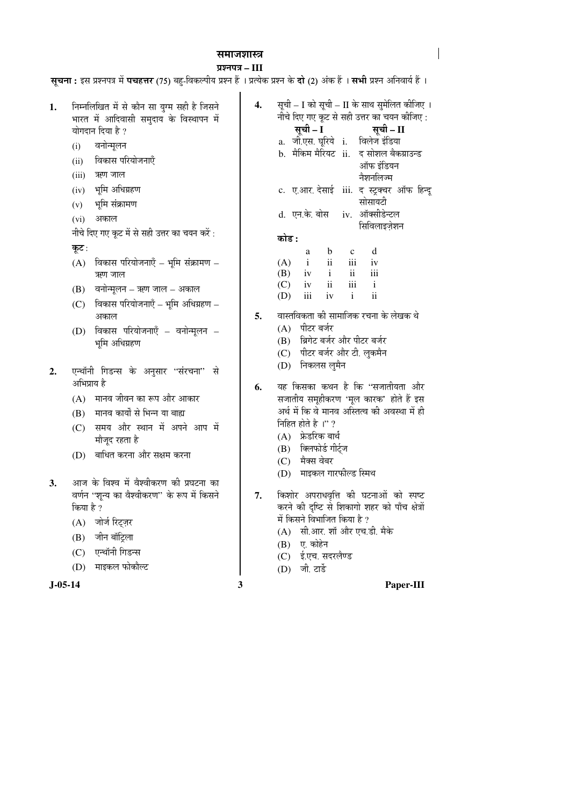### समाजशास्त्र

### ¯ÖÏ¿®Ö¯Ö¡Ö **– III**

**सृचना:** इस प्रश्नपत्र में **पचहत्तर** (75) बह-विकल्पीय प्रश्न हैं । प्रत्येक प्रश्न के **दो** (2) अंक हैं । **सभी** प्रश्न अनिवार्य हैं ।

**J-05-14 3 Paper-III** 1. Fiम्नलिखित में से कौन सा युग्म सही है जिसने भारत में आदिवासी समुदाय के विस्थापन में योगदान दिया है ? (i) वनोन्मूलन (ii) विकास परियोजनाएँ (iii) ऋण जाल  $(iv)$  भूमि अधिग्रहण  $(v)$  भूमि संक्रामण (vi) अकाल नीचे दिए गए कूट में से सही उत्तर का चयन करें: कूट:  $(A)$  विकास परियोजनाएँ – भूमि संक्रामण – ऋण जाल  $(B)$  वनोन्मुलन – ऋण जाल – अकाल  $(C)$  विकास परियोजनाएँ – भूमि अधिग्रहण – अकाल  $(D)$  विकास परियोजनाएँ – वनोन्मुलन – भूमि अधिग्रहण 2. एन्थॉनी गिडन्स के अनुसार "संरचना" से अभिप्राय है  $(A)$  मानव जीवन का रूप और आकार (B) मानव कार्यों से भिन्न या बाह्य (C) समय और स्थान में अपने आप में मौजुद रहता है (D) बाधित करना और सक्षम करना 3. आज के विश्व में वैश्वीकरण की प्रघटना का वर्णन "शून्य का वैश्वीकरण" के रूप में किसने किया है ? (A) जोर्ज रिट्ज़र  $(B)$  जीन बॉट्रिला (C) एन्थॉनी गिडन्स (D) माइकल फोकौल्ट **4.** सूची – I को सूची – II के साथ सुमेलित कीजिए । नोचे दिए गए कूट से सही उत्तर का चयन कीजिए : ÃÖæ"Öß **– I** ÃÖæ"Öß **– II**  a. जी.एस. घूरिये i. विलेज इंडिया b. मैकिम मैरियट ii. द सोशल बैकग्राउन्ड ऑफ इंडियन नैशनलिज्म c. ए.आर. देसाई iii. द स्ट्रक्चर ऑफ हिन्दू सोसायटी d. एन.के. बोस iv. ऑक्सीडेन्टल सिविलाइजेशन 󜅐ݟ **:** a b c d  $(A)$  i ii iii iv (B) iv i ii iii  $(C)$  iv ii iii i (D) iii iv i ii **5.** वास्तविकता की सामाजिक रचना के लेखक थे (A) पीटर बर्जर (B) ब्रिगेट बर्जर और पीटर बर्जर (C) पीटर बर्जर और टी. लकमैन (D) निकलस लमैन **6.** यह किसका कथन है कि "सजातीयता और सजातीय समृहीकरण 'मूल कारक' होते हैं इस अर्थ में कि वे मानव अस्तित्व की अवस्था में ही निहित होते है<sup>1</sup>'?  $(A)$  फ्रेडरिक बार्थ (B) क्लिफोर्ड गीर्टज (C) मैक्स वेबर (D) माइकल गारफील्ड स्मिथ 7. किशोर अपराधवृत्ति की घटनाओं को स्पष्ट करने की दृष्टि से शिकागो शहर को पाँच क्षेत्रों में किसने विभाजित किया है ? (A) सी.आर. शॉ और एच.डी. मैके (B) ए. कोहेन (C) ई.एच. सदरलैण्ड  $(D)$  जी. टार्डे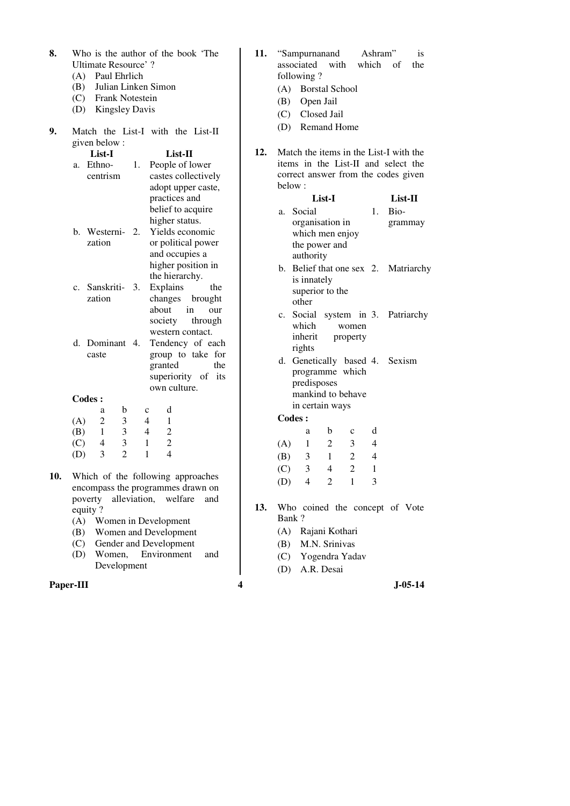- **8.** Who is the author of the book 'The Ultimate Resource' ?
	- (A) Paul Ehrlich
	- (B) Julian Linken Simon
	- (C) Frank Notestein
	- (D) Kingsley Davis
- **9.** Match the List-I with the List-II given below : **List-I List-II**

| Ethno-        | 1. | People of lower                                       |  |  |  |
|---------------|----|-------------------------------------------------------|--|--|--|
| centrism      |    | castes collectively                                   |  |  |  |
|               |    | adopt upper caste,                                    |  |  |  |
|               |    | practices and                                         |  |  |  |
|               |    | belief to acquire                                     |  |  |  |
|               |    | higher status.                                        |  |  |  |
|               |    | Yields economic                                       |  |  |  |
| zation        |    | or political power                                    |  |  |  |
|               |    | and occupies a                                        |  |  |  |
|               |    | higher position in                                    |  |  |  |
|               |    | the hierarchy.                                        |  |  |  |
|               |    | Explains<br>the                                       |  |  |  |
| zation        |    | changes brought                                       |  |  |  |
|               |    | about in<br>our                                       |  |  |  |
|               |    | society through                                       |  |  |  |
|               |    | western contact.                                      |  |  |  |
|               |    | Tendency of each                                      |  |  |  |
| caste         |    | group to take for                                     |  |  |  |
|               |    | granted<br>the                                        |  |  |  |
|               |    | superiority of its                                    |  |  |  |
|               |    | own culture.                                          |  |  |  |
| <b>Codes:</b> |    |                                                       |  |  |  |
|               |    | b. Westerni- 2.<br>c. Sanskriti- 3.<br>d. Dominant 4. |  |  |  |

|     | a | b | c | d |
|-----|---|---|---|---|
| (A) | 2 | 3 |   |   |
| (B) |   | 3 |   | 2 |
| (C) | 4 | 3 |   | 2 |
| (D) | 3 | 2 |   |   |

- **10.** Which of the following approaches encompass the programmes drawn on poverty alleviation, welfare and equity ?
	- (A) Women in Development
	- (B) Women and Development<br>(C) Gender and Development
	- Gender and Development
	- (D) Women, Environment and Development

### **Paper-III 4** J-05-14

| 11. "Sampurnanand        | Ashram" | <i>is</i> |     |  |
|--------------------------|---------|-----------|-----|--|
| associated with which of |         |           | the |  |
| following?               |         |           |     |  |

- (A) Borstal School
- (B) Open Jail
- (C) Closed Jail
- (D) Remand Home
- **12.** Match the items in the List-I with the items in the List-II and select the correct answer from the codes given below :

| List-I                               |                | List-II |
|--------------------------------------|----------------|---------|
| a. Social                            | $\mathbf{1}$ . | Bio-    |
| organisation in                      |                | grammay |
| which men enjoy                      |                |         |
| the power and                        |                |         |
| authority                            |                |         |
| b. Belief that one sex 2. Matriarchy |                |         |
| is innately                          |                |         |
| superior to the                      |                |         |
| other                                |                |         |
| c. Social system in 3. Patriarchy    |                |         |
|                                      |                |         |

- which women inherit property rights
- d. Genetically based 4. Sexism programme which predisposes mankind to behave in certain ways **Codes :**

| Coucs. |   |             |   |
|--------|---|-------------|---|
| a      | b | $\mathbf c$ | d |
|        | 2 | 3           | 4 |
| 3      | 1 | 2           | 4 |
| 3      | 4 | 2           | 1 |
| 4      | 2 |             | 3 |
|        |   |             |   |

- **13.** Who coined the concept of Vote Bank ?
	- (A) Rajani Kothari
	- (B) M.N. Srinivas
	- (C) Yogendra Yadav

(D) A.R. Desai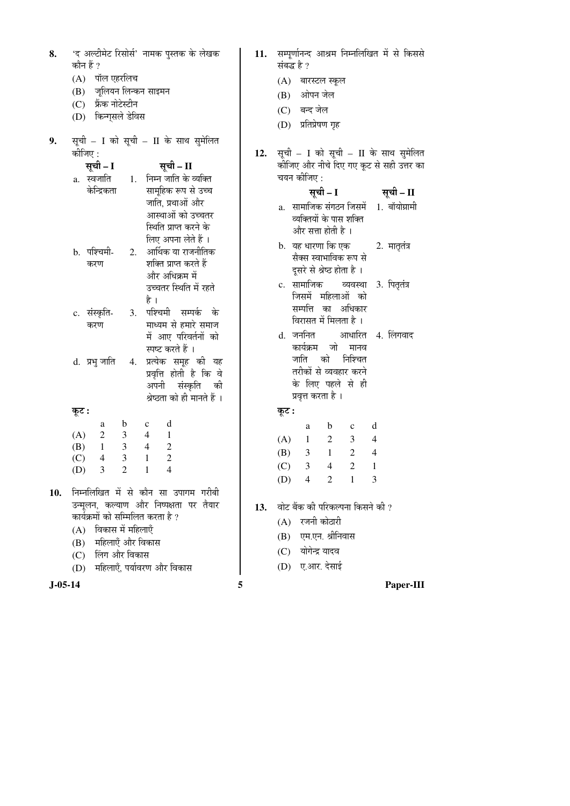| 8.        | 'द अल्टीमेट रिसोर्स' नामक पुस्तक के लेखक<br>कौन हैं ?<br>(A) पॉल एहरलिच<br>(B) जूलियन लिन्कन साइमन<br>(C) फ्रेंक नोटेस्टीन<br>(D) किन्गुसले डेविस                                                                                                                                                                                                                                                                                            | 11. |
|-----------|----------------------------------------------------------------------------------------------------------------------------------------------------------------------------------------------------------------------------------------------------------------------------------------------------------------------------------------------------------------------------------------------------------------------------------------------|-----|
| 9.        | सूची – I को सूची – II के साथ सुमेलित<br>कीजिए :<br>सूची - II<br>सूची – I<br>1. निम्न जाति के व्यक्ति<br>a. स्वजाति<br>केन्द्रिकता<br>सामूहिक रूप से उच्च<br>जाति, प्रथाओं और<br>आस्थाओं को उच्चतर<br>स्थिति प्राप्त करने के<br>लिए अपना लेते हैं ।<br>आर्थिक या राजनीतिक<br>b. पश्चिमी-<br>2.<br>शक्ति प्राप्त करते हैं<br>करण<br>और अधिक्रम में<br>उच्चतर स्थिति में रहते<br>है ।                                                           | 12. |
|           | पश्चिमी सम्पर्क के<br>c. संस्कृति-<br>3.<br>माध्यम से हमारे समाज<br>करण<br>में आए परिवर्तनों को<br>स्पष्ट करते हैं ।<br>प्रत्येक समूह की यह<br>d.  प्रभु जाति<br>4.<br>प्रवृत्ति होती है कि वे<br>अपनी संस्कृति की<br>श्रेष्ठता को ही मानते हैं ।                                                                                                                                                                                            |     |
|           | कूट :                                                                                                                                                                                                                                                                                                                                                                                                                                        |     |
| 10.       | d<br>$\mathbf{b}$<br>$\mathbf{c}$<br>a<br>$\begin{matrix}2\\1\end{matrix}$<br>(A)<br>$\mathfrak{Z}$<br>$\overline{4}$<br>$\mathbf{1}$<br>3 <sup>7</sup><br>$\boldsymbol{2}$<br>(B)<br>$\overline{4}$<br>$\overline{c}$<br>$\mathfrak{Z}$<br>(C)<br>$\overline{4}$<br>$\mathbf{1}$<br>$\overline{c}$<br>$\overline{3}$<br>$\boldsymbol{\Delta}$<br>(D)<br>1<br>निम्नलिखित में से कौन सा उपागम गरीबी<br>उन्मूलन, कल्याण और निष्पक्षता पर तैयार | 13. |
|           | कार्यक्रमों को सम्मिलित करता है ?<br>विकास में महिलाएँ<br>(A)<br>(B) महिलाएँ और विकास<br>(C) लिंग और विकास<br>(D) महिलाएँ, पर्यावरण और विकास                                                                                                                                                                                                                                                                                                 |     |
| $J-05-14$ | 5                                                                                                                                                                                                                                                                                                                                                                                                                                            |     |

|             | 11. सम्पूर्णानन्द आश्रम निम्नलिखित में से किससे |  |  |
|-------------|-------------------------------------------------|--|--|
| संबद्ध है ? |                                                 |  |  |

- (A) बारस्टल स्कूल
- (B) ओपन जेल
- (C) बन्द जेल
- (D) प्रतिप्रेषण गृह
- सूची I को सूची II के साथ सुमेलित कोजिए और नीचे दिए गए कूट से सही उत्तर का चयन कीजिए :

## सूची – I सूची – II a. सामाजिक संगठन जिसमें 1. बॉयोग्रामी

- व्यक्तियों के पास शक्ति और सत्ता होती है $\pm$
- b. यह धारणा कि एक सैक्स स्वाभाविक रूप से दूसरे से श्रेष्ठ होता है । 2. मातृतंत्र
- c. सामाजिक व्यवस्था 3. पितृतंत्र जिसमें महिलाओं को सम्पत्ति का अधिकार विरासत में मिलता है ।
- d. जननित कार्यक्रम जो मानव जाति को निश्चित तरीकों से व्यवहार करने के लिए पहले से ही प्रवृत्त करता है । आधारित 4. लिंगवाद

# कूट :

|     | a | b | c | d |
|-----|---|---|---|---|
| (A) | ı | 2 | 3 | 4 |
| (B) | 3 | 1 | 2 | 4 |
| (C) | 3 | 4 | 2 |   |
| (D) | 4 | 2 | 1 | 3 |

- वोट बैंक की परिकल्पना किसने की ?
	- (A) रजनी कोठारी
	- (B) एम.एन. श्रीनिवास
	- (C) योगेन्द्र यादव
	- (D) ए.आर. देसाई

### Paper-III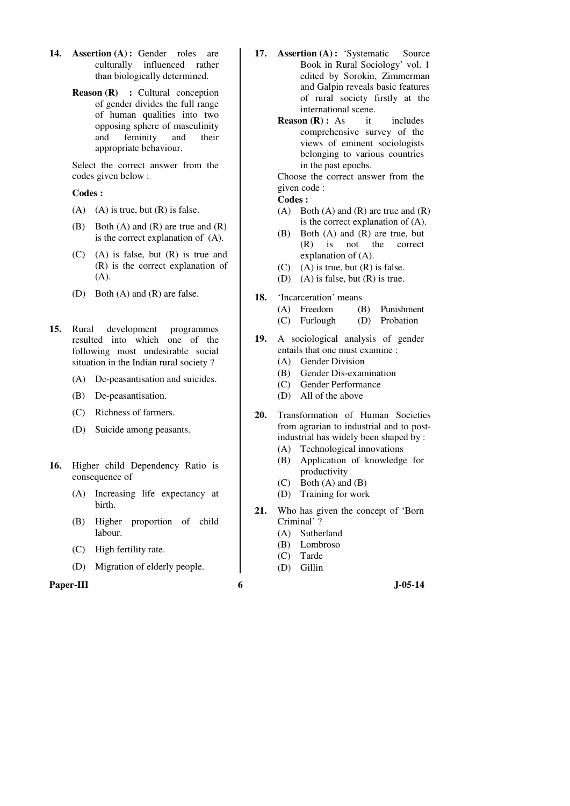- **14. Assertion (A) :** Gender roles are culturally influenced rather than biologically determined.
	- **Reason (R) : Cultural conception** of gender divides the full range of human qualities into two opposing sphere of masculinity and feminity and their appropriate behaviour.

 Select the correct answer from the codes given below :

#### **Codes :**

- $(A)$  (A) is true, but  $(R)$  is false.
- (B) Both  $(A)$  and  $(R)$  are true and  $(R)$ is the correct explanation of (A).
- (C) (A) is false, but (R) is true and (R) is the correct explanation of (A).
- (D) Both (A) and (R) are false.
- **15.** Rural development programmes resulted into which one of the following most undesirable social situation in the Indian rural society ?
	- (A) De-peasantisation and suicides.
	- (B) De-peasantisation.
	- (C) Richness of farmers.
	- (D) Suicide among peasants.
- **16.** Higher child Dependency Ratio is consequence of
	- (A) Increasing life expectancy at birth.
	- (B) Higher proportion of child labour.
	- (C) High fertility rate.
	- (D) Migration of elderly people.

### **Paper-III 6 J**-05-14

- 17. **Assertion (A):** 'Systematic Source Book in Rural Sociology' vol. 1 edited by Sorokin, Zimmerman and Galpin reveals basic features of rural society firstly at the international scene.
	- **Reason (R) :** As it includes comprehensive survey of the views of eminent sociologists belonging to various countries in the past epochs.

 Choose the correct answer from the given code :

**Codes :** 

- (A) Both (A) and (R) are true and  $(R)$ is the correct explanation of (A).
- (B) Both (A) and (R) are true, but (R) is not the correct explanation of (A).
- $(C)$  (A) is true, but  $(R)$  is false.
- (D) (A) is false, but (R) is true.
- **18.** 'Incarceration' means
	- (A) Freedom (B) Punishment
	- (C) Furlough (D) Probation
- **19.** A sociological analysis of gender entails that one must examine :
	- (A) Gender Division
	- (B) Gender Dis-examination
	- (C) Gender Performance (D) All of the above
- **20.** Transformation of Human Societies from agrarian to industrial and to postindustrial has widely been shaped by :
	- (A) Technological innovations
	- (B) Application of knowledge for productivity
	- (C) Both (A) and (B)
	- (D) Training for work
- **21.** Who has given the concept of 'Born Criminal' ?
	- (A) Sutherland
	- (B) Lombroso
	- (C) Tarde
	- (D) Gillin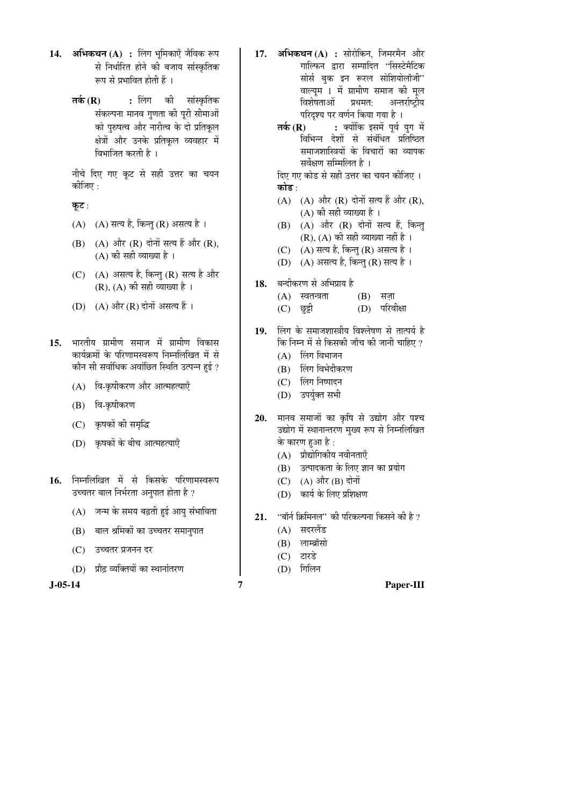- 14. **अभिकथन** (A) : लिंग भूमिकाएँ जैविक रूप से निर्धारित होने की बजाय सांस्कृतिक रूप से प्रभावित होती हैं ।
	- **तर्क (R) :** लिंग की सांस्कृतिक संकल्पना मानव गुणता की पूरी सीमाओं को पुरुषत्व और नारीत्व के दो प्रतिकृल क्षेत्रों और उनके प्रतिकूल व्यवहार में <u>विभाजित करती है</u> ।

नीचे दिए गए कट से सही उत्तर का चयन कोजिए $\,$  :

कूट:

- (A)  $(A)$  सत्य है, किन्तु (R) असत्य है।
- $(B)$   $(A)$  और  $(R)$  दोनों सत्य हैं और  $(R)$ ,  $(A)$  की सही व्याख्या है ।
- $(C)$   $(A)$  असत्य है, किन्तु  $(R)$  सत्य है और  $(R)$ ,  $(A)$  की सही व्याख्या है।
- (D)  $(A)$  और  $(R)$  दोनों असत्य हैं।
- 15. भारतीय ग्रामीण समाज में ग्रामीण विकास कार्यक्रमों के परिणामस्वरूप निम्नलिखित में से कौन सी सर्वाधिक अवांछित स्थिति उत्पन्न हुई ?
	- (A) वि-कृषीकरण और आत्महत्याएँ
	- $(B)$  वि-कृषीकरण
	- (C) कृषकों की समृद्धि
	- (D) कृषकों के बीच आत्महत्याएँ
- 16. निम्नलिखित में से किसके परिणामस्वरूप उच्चतर बाल निर्भरता अनुपात होता है ?
	- $(A)$  जन्म के समय बढ़ती हुई आयु संभाविता
	- $(B)$  बाल श्रमिकों का उच्चतर समानुपात
	- (C) उच्चतर प्रजनन दर
	- (D) प्रौढ़ व्यक्तियों का स्थानांतरण

- 1**7. अभिकथन (A) :** सोरोकिन, जिमरमैन और गाल्फिन द्वारा सम्पादित ''सिस्टेमैटिक सोर्स बुक इन रूरल सोशियोलॉजी" वाल्यूम 1 में ग्रामीण समाज की मूल विशेषताओं प्रथमत: अन्तर्राष्ट्रीय परिदश्य पर वर्णन किया गया है ।
	- **तर्क (R) :** क्योंकि इसमें पूर्व युग में विभिन्न देशों से संबंधित प्रतिष्ठित समाजशास्त्रियों के विचारों का व्यापक सर्वेक्षण सम्मिलित है ।

दिए गए कोड से सही उत्तर का चयन कीजिए । कोड :

- $(A)$   $(A)$  और  $(R)$  दोनों सत्य हैं और  $(R)$ , (A) की सही व्याख्या है ।
- (B) (A) और (R) दोनों सत्य हैं, किन्तु  $(R)$ ,  $(A)$  की सही व्याख्या नहीं है ।
- (C) (A) सत्य है, किन्तु (R) असत्य है।
- (D) (A) असत्य है, किन्तु (R) सत्य है।
- 18. बन्दीकरण से अभिप्राय है
	- $(A)$  स्वतन्त्रता  $(B)$  सजा
	- (C) छुट्टी (D) परिवीक्षा
- 19. लिंग के समाजशास्त्रीय विश्लेषण से तात्पर्य है कि निम्न में से किसकी जाँच की जानी चाहिए ?
	- $(A)$  लिंग विभाजन
	- (B) लिंग विभेदीकरण
	- (C) लिंग निष्पादन
	- (D) उपर्युक्त सभी
- 20. मानव समाजों का कृषि से उद्योग और पश्च उद्योग में स्थानान्तरण मुख्य रूप से निम्नलिखित के कारण हुआ है :
	- (A) प्रौद्योगिकीय नवीनताएँ
	- (B) उत्पादकता के लिए ज्ञान का प्रयोग
	- $(C)$   $(A)$  और  $(B)$  दोनों
	- (D) कार्य के लिए प्रशिक्षण
- 21. "बॉर्न क्रिमिनल" की परिकल्पना किसने की है ?
	- $(A)$  सदरलैंड
	- $(B)$  लाम्ब्रॉसो
	- $(C)$  टारडे
	- (D) गिलिन

**J-05-14 7 Paper-III**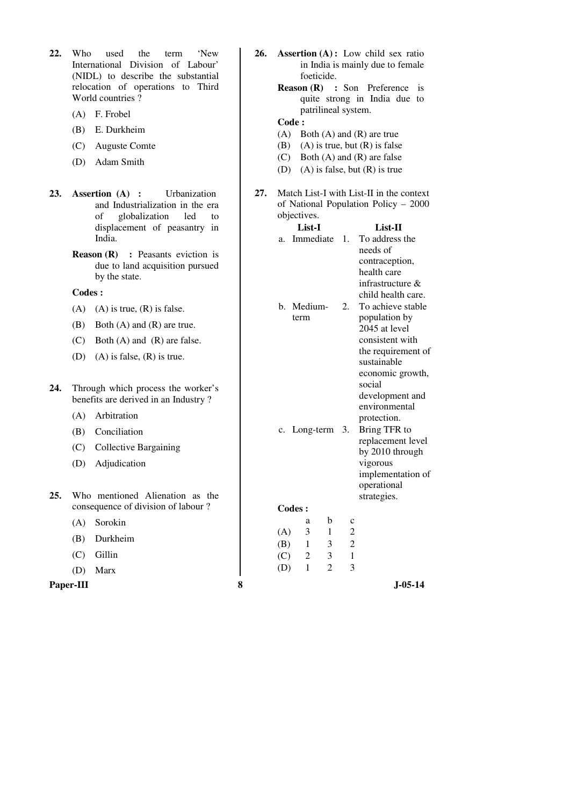- **22.** Who used the term 'New International Division of Labour' (NIDL) to describe the substantial relocation of operations to Third World countries ?
	- (A) F. Frobel
	- (B) E. Durkheim
	- (C) Auguste Comte
	- (D) Adam Smith
- **23. Assertion (A) :** Urbanization and Industrialization in the era of globalization led to displacement of peasantry in India.
	- **Reason (R) :** Peasants eviction is due to land acquisition pursued by the state.

### **Codes :**

- (A) (A) is true,  $(R)$  is false.
- (B) Both (A) and (R) are true.
- (C) Both (A) and (R) are false.
- (D) (A) is false, (R) is true.
- **24.** Through which process the worker's benefits are derived in an Industry ?
	- (A) Arbitration
	- (B) Conciliation
	- (C) Collective Bargaining
	- (D) Adjudication
- **25.** Who mentioned Alienation as the consequence of division of labour ?
	- (A) Sorokin
	- (B) Durkheim
	- (C) Gillin
	- (D) Marx
- 
- **26. Assertion (A) :** Low child sex ratio in India is mainly due to female foeticide.
	- **Reason (R) :** Son Preference is quite strong in India due to patrilineal system.

### **Code :**

- (A) Both (A) and (R) are true
- (B) (A) is true, but  $(R)$  is false
- (C) Both (A) and (R) are false
- (D) (A) is false, but (R) is true
- **27.** Match List-I with List-II in the context of National Population Policy – 2000 objectives.

|     |           | displacement of peasantry in                                                                      |   |            | List-I          |                   |                                  | List-II                                                       |
|-----|-----------|---------------------------------------------------------------------------------------------------|---|------------|-----------------|-------------------|----------------------------------|---------------------------------------------------------------|
|     |           | India.                                                                                            |   | a.         | Immediate       |                   | $\mathbf{1}$ .                   | To address the                                                |
|     |           | <b>Reason</b> $(R)$<br>: Peasants eviction is<br>due to land acquisition pursued<br>by the state. |   |            |                 |                   |                                  | needs of<br>contraception,<br>health care<br>infrastructure & |
|     | Codes:    |                                                                                                   |   |            |                 |                   |                                  | child health care.                                            |
|     | (A)       | $(A)$ is true, $(R)$ is false.                                                                    |   |            | b. Medium-      |                   | 2.                               | To achieve stable                                             |
|     | (B)       | Both $(A)$ and $(R)$ are true.                                                                    |   |            | term            |                   |                                  | population by<br>2045 at level                                |
|     | (C)       | Both $(A)$ and $(R)$ are false.                                                                   |   |            |                 |                   | consistent with                  |                                                               |
|     | (D)       | $(A)$ is false, $(R)$ is true.                                                                    |   |            |                 |                   |                                  | the requirement of<br>sustainable<br>economic growth,         |
| 24. |           | Through which process the worker's<br>benefits are derived in an Industry?                        |   |            |                 |                   |                                  | social<br>development and<br>environmental                    |
|     | (A)       | Arbitration                                                                                       |   |            |                 |                   |                                  | protection.                                                   |
|     | (B)       | Conciliation                                                                                      |   |            | c. Long-term 3. |                   |                                  | Bring TFR to                                                  |
|     | (C)       | <b>Collective Bargaining</b>                                                                      |   |            |                 |                   |                                  | replacement level<br>by 2010 through                          |
|     | (D)       | Adjudication                                                                                      |   |            |                 |                   |                                  | vigorous<br>implementation of<br>operational                  |
| 25. |           | Who mentioned Alienation as the                                                                   |   |            |                 |                   |                                  | strategies.                                                   |
|     |           | consequence of division of labour?                                                                |   | Codes:     |                 |                   |                                  |                                                               |
|     | (A)       | Sorokin                                                                                           |   |            | a               | b                 | $\mathbf c$                      |                                                               |
|     | (B)       | Durkheim                                                                                          |   | (A)<br>(B) | 3<br>1          | $\mathbf{1}$<br>3 | $\overline{2}$<br>$\overline{2}$ |                                                               |
|     | (C)       | Gillin                                                                                            |   | (C)        | 2               | 3                 | $\mathbf{1}$                     |                                                               |
|     | (D)       | Marx                                                                                              |   | (D)        | $\mathbf{1}$    | $\overline{2}$    | 3                                |                                                               |
|     | Paper-III |                                                                                                   | 8 |            |                 |                   |                                  | J-05-14                                                       |
|     |           |                                                                                                   |   |            |                 |                   |                                  |                                                               |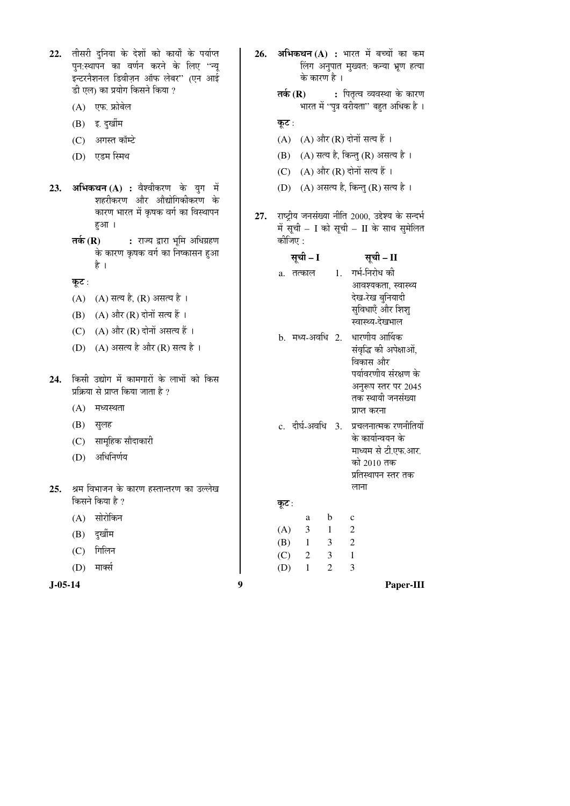| 22.<br>23.    | तीसरी दुनिया के देशों को कार्यों के पर्याप्त<br>पुन:स्थापन का वर्णन करने के लिए ''न्यू<br>इन्टरनैशनल डिवीज़न ऑफ लेबर" (एन आई<br>डी एल) का प्रयोग किसने किया ?<br>एफ. फ्रोबेल<br>(A)<br>इ. दुर्खीम<br>(B)<br>अगस्त कॉम्टे<br>(C)<br>एडम स्मिथ<br>(D)<br>अभिकथन (A) : वैश्वीकरण के युग में | 26. | अभिकथन (A) : भारत में बच्चों का कम<br>लिंग अनुपात मुख्यत: कन्या भ्रूण हत्या<br>के कारण है।<br>तर्क $(R)$<br>: पितृत्व व्यवस्था के कारण<br>भारत में ''पुत्र वरीयता'' बहुत अधिक है ।<br>कूट :<br>(A) और (R) दोनों सत्य हैं ।<br>(A)<br>(A) सत्य है, किन्तु (R) असत्य है।<br>(B)<br>(A) और (R) दोनों सत्य हैं ।<br>(C)<br>(A) असत्य है, किन्तु (R) सत्य है ।<br>(D) |  |  |
|---------------|------------------------------------------------------------------------------------------------------------------------------------------------------------------------------------------------------------------------------------------------------------------------------------------|-----|------------------------------------------------------------------------------------------------------------------------------------------------------------------------------------------------------------------------------------------------------------------------------------------------------------------------------------------------------------------|--|--|
|               | शहरीकरण और औद्योगिकीकरण के<br>कारण भारत में कृषक वर्ग का विस्थापन<br>हुआ।<br>: राज्य द्वारा भूमि अधिग्रहण<br>तर्क $(R)$                                                                                                                                                                  | 27. | राष्ट्रीय जनसंख्या नीति 2000, उद्देश्य के सन्दर्भ<br>में सूची – I को सूची – II के साथ सुमेलित<br>कोजिए :                                                                                                                                                                                                                                                         |  |  |
|               | के कारण कृषक वर्ग का निष्कासन हुआ<br>है ।                                                                                                                                                                                                                                                |     | सूची – I<br>सूची – II                                                                                                                                                                                                                                                                                                                                            |  |  |
|               | कूट :                                                                                                                                                                                                                                                                                    |     | 1. गर्भ-निरोध की<br>a. तत्काल                                                                                                                                                                                                                                                                                                                                    |  |  |
|               | (A) सत्य है, (R) असत्य है ।<br>(A)                                                                                                                                                                                                                                                       |     | आवश्यकता, स्वास्थ्य<br>देख-रेख बुनियादी                                                                                                                                                                                                                                                                                                                          |  |  |
|               | $(A)$ और $(R)$ दोनों सत्य हैं ।<br>(B)                                                                                                                                                                                                                                                   |     | सुविधाएँ और शिशु<br>स्वास्थ्य-देखभाल                                                                                                                                                                                                                                                                                                                             |  |  |
|               | (A) और (R) दोनों असत्य हैं ।<br>(C)                                                                                                                                                                                                                                                      |     | धारणीय आर्थिक<br>b. मध्य-अवधि 2.                                                                                                                                                                                                                                                                                                                                 |  |  |
| 24.           | (A) असत्य है और (R) सत्य है ।<br>(D)<br>किसी उद्योग में कामगारों के लाभों को किस<br>प्रक्रिया से प्राप्त किया जाता है ?<br>(A)<br>मध्यस्थता                                                                                                                                              |     | संवृद्धि की अपेक्षाओं,<br>विकास और<br>पर्यावरणीय संरक्षण के<br>अनुरूप स्तर पर 2045<br>तक स्थायी जनसंख्या<br>प्राप्त करना                                                                                                                                                                                                                                         |  |  |
|               | (B)<br>सुलह                                                                                                                                                                                                                                                                              |     | c. दीर्घ-अवधि 3.<br>प्रचलनात्मक रणनीतियों                                                                                                                                                                                                                                                                                                                        |  |  |
| 25.           | सामूहिक सौदाकारी<br>(C)<br>अधिनिर्णय<br>(D)<br>श्रम विभाजन के कारण हस्तान्तरण का उल्लेख                                                                                                                                                                                                  |     | के कार्यान्वयन के<br>माध्यम से टी.एफ.आर.<br>को 2010 तक<br>प्रतिस्थापन स्तर तक<br>लाना                                                                                                                                                                                                                                                                            |  |  |
|               | किसने किया है ?                                                                                                                                                                                                                                                                          |     | कूट :                                                                                                                                                                                                                                                                                                                                                            |  |  |
|               | सोरोकिन<br>(A)                                                                                                                                                                                                                                                                           |     | b<br>$\mathbf{C}$<br>a                                                                                                                                                                                                                                                                                                                                           |  |  |
|               | दुर्खीम<br>(B)                                                                                                                                                                                                                                                                           |     | $\mathfrak 2$<br>(A)<br>3<br>1                                                                                                                                                                                                                                                                                                                                   |  |  |
|               | गिलिन<br>(C)                                                                                                                                                                                                                                                                             |     | $\sqrt{2}$<br>(B)<br>$\mathbf{1}$<br>3<br>(C)<br>$\mathfrak{Z}$<br>$\mathbf{1}$<br>$\overline{c}$                                                                                                                                                                                                                                                                |  |  |
|               | मार्क्स<br>(D)                                                                                                                                                                                                                                                                           |     | $\overline{2}$<br>3<br>(D)<br>$\mathbf{1}$                                                                                                                                                                                                                                                                                                                       |  |  |
| $J - 05 - 14$ |                                                                                                                                                                                                                                                                                          | 9   | Paper-III                                                                                                                                                                                                                                                                                                                                                        |  |  |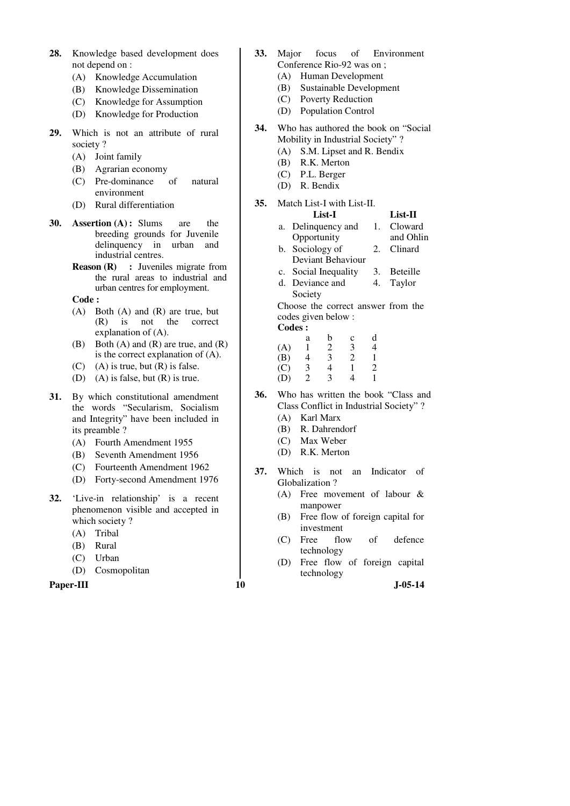- **28.** Knowledge based development does not depend on :
	- (A) Knowledge Accumulation
	- (B) Knowledge Dissemination
	- (C) Knowledge for Assumption
	- (D) Knowledge for Production
- **29.** Which is not an attribute of rural society ?
	- (A) Joint family
	- (B) Agrarian economy
	- (C) Pre-dominance of natural environment
	- (D) Rural differentiation
- **30. Assertion (A) :** Slums are the breeding grounds for Juvenile delinquency in urban and industrial centres.
	- **Reason (R) :** Juveniles migrate from the rural areas to industrial and urban centres for employment.

**Code :** 

- (A) Both (A) and (R) are true, but (R) is not the correct explanation of (A).
- (B) Both  $(A)$  and  $(R)$  are true, and  $(R)$ is the correct explanation of (A).
- $(C)$  (A) is true, but  $(R)$  is false.
- (D) (A) is false, but (R) is true.
- **31.** By which constitutional amendment the words "Secularism, Socialism and Integrity" have been included in its preamble ?
	- (A) Fourth Amendment 1955
	- (B) Seventh Amendment 1956
	- (C) Fourteenth Amendment 1962
	- (D) Forty-second Amendment 1976
- **32.** 'Live-in relationship' is a recent phenomenon visible and accepted in which society ?
	- (A) Tribal
	- (B) Rural
	- (C) Urban
	- (D) Cosmopolitan

Paper-III **10** J-05-14

- **33.** Major focus of Environment Conference Rio-92 was on ;
	- (A) Human Development
	- (B) Sustainable Development
	- (C) Poverty Reduction
	- (D) Population Control
- **34.** Who has authored the book on "Social Mobility in Industrial Society" ?
	- (A) S.M. Lipset and R. Bendix
	- (B) R.K. Merton
	- (C) P.L. Berger
	- (D) R. Bendix

### **35.** Match List-I with List-II.

- **List-I List-II**  a. Delinquency and Opportunity 1. Cloward and Ohlin
- b. Sociology of Deviant Behaviour 2. Clinard
- c. Social Inequality 3. Beteille d. Deviance and 4. Taylor
- Society Choose the correct answer from the codes given below :
- **Codes :**

|     | а                           | n | c | d |
|-----|-----------------------------|---|---|---|
| (A) |                             | 2 | 3 |   |
| (B) | 4                           | 3 | 2 |   |
| (C) | 3                           | 4 |   | っ |
| (D) | $\mathcal{D}_{\mathcal{L}}$ | 3 |   |   |

- **36.** Who has written the book "Class and Class Conflict in Industrial Society" ?
	- (A) Karl Marx
	- (B) R. Dahrendorf
	- (C) Max Weber
	- (D) R.K. Merton
- **37.** Which is not an Indicator of Globalization ?
	- (A) Free movement of labour & manpower
	- (B) Free flow of foreign capital for investment
	- (C) Free flow of defence technology
	- (D) Free flow of foreign capital technology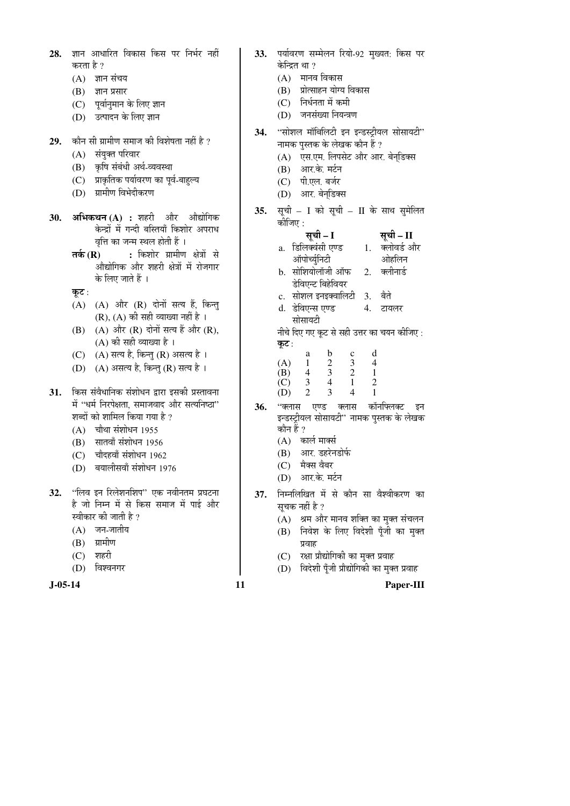| 28. | ज्ञान आधारित विकास किस पर निर्भर नहीं                    | 33. | पर्यावरण सम्मेलन रियो-92 मुख्यत: किस पर                                          |
|-----|----------------------------------------------------------|-----|----------------------------------------------------------------------------------|
|     | करता है ?                                                |     | केन्द्रित था ?<br>(A) मानव विकास                                                 |
|     | ज्ञान संचय<br>(A)                                        |     | (B) प्रोत्साहन योग्य विकास                                                       |
|     | (B)<br>ज्ञान प्रसार                                      |     | (C) निर्धनता में कमी                                                             |
|     | (C) पूर्वानुमान के लिए ज्ञान<br>(D) उत्पादन के लिए ज्ञान |     | (D) जनसंख्या नियन्त्रण                                                           |
|     |                                                          |     |                                                                                  |
| 29. | कौन सी ग्रामीण समाज की विशेषता नहीं है ?                 | 34. | "सोशल मॉबिलिटी इन इन्डस्ट्रीयल सोसायटी"                                          |
|     | संयुक्त परिवार                                           |     | नामक पुस्तक के लेखक कौन हैं ?                                                    |
|     | (A)<br>कृषि संबंधी अर्थ-व्यवस्था<br>(B)                  |     | (A) एस.एम. लिपसेट और आर. बेन्डिक्स                                               |
|     | प्राकृतिक पर्यावरण का पूर्व-बाहुल्य<br>(C)               |     | (B) आर.के. मर्टन                                                                 |
|     | ग्रामीण विभेदीकरण<br>(D)                                 |     | (C) पी.एल. बर्जर                                                                 |
|     |                                                          |     | (D) आर. बेन्डिक्स                                                                |
| 30. | अभिकथन (A) : शहरी और औद्योगिक                            | 35. | सूची – I को सूची – II के साथ सुमेलित                                             |
|     | केन्द्रों में गन्दी बस्तियाँ किशोर अपराध                 |     | कोजिए :                                                                          |
|     | वृत्ति का जन्म स्थल होती हैं ।                           |     | सूची – I<br>सूची – II                                                            |
|     | तर्क (R) : किशोर ग्रामीण क्षेत्रों से                    |     | a. डिलिक्वंसी एण्ड 1. क्लोवर्ड और                                                |
|     | औद्योगिक और शहरी क्षेत्रों में रोजगार                    |     | ऑपोर्च्युनिटी<br>ओहलिन                                                           |
|     | के लिए जाते हैं ।                                        |     | b. सोशियोलॉजी ऑफ 2. क्लीनार्ड<br>डेविएन्ट बिहेवियर                               |
|     | कूट :                                                    |     | c. सोशल इनइक्वालिटी 3. बैते                                                      |
|     | (A) (A) और (R) दोनों सत्य हैं, किन्तु                    |     | d.  डेविएन्स एण्ड<br>4.<br>टायलर                                                 |
|     | $(R)$ , $(A)$ की सही व्याख्या नहीं है ।                  |     | सोसायटी                                                                          |
|     | (A) और (R) दोनों सत्य हैं और (R),<br>(B)                 |     | नीचे दिए गए कूट से सही उत्तर का चयन कीजिए :                                      |
|     | (A) की सही व्याख्या है ।                                 |     | कूट :                                                                            |
|     | (A) सत्य है, किन्तु (R) असत्य है ।<br>(C)                |     | d<br>$\mathbf b$<br>a<br>$\mathbf c$                                             |
|     | (D) (A) असत्य है, किन्तु (R) सत्य है।                    |     | $\begin{array}{cccccc} 1 & 2 & 3 & 4 \\ 4 & 3 & 2 & 1 \end{array}$<br>(A)<br>(B) |
|     |                                                          |     | $\overline{4}$<br>$\overline{2}$<br>$\mathbf{1}$<br>3 <sup>7</sup><br>(C)        |
| 31. | किस संवैधानिक संशोधन द्वारा इसकी प्रस्तावना              |     | $\overline{2}$<br>$\overline{3}$<br>$\mathbf{1}$<br>$\overline{4}$<br>(D)        |
|     | में "धर्म निरपेक्षता, समाजवाद और सत्यनिष्ठा"             | 36. | कॉर्नाफ्लक्ट<br>''क्लास एण्ड क्लास<br>इन                                         |
|     | शब्दों को शामिल किया गया है ?                            |     | इन्डस्ट्रीयल सोसायटी" नामक पुस्तक के लेखक                                        |
|     | (A) चौथा संशोधन 1955                                     |     | कौन हैं ?<br>(A) कार्ल मार्क्स                                                   |
|     | (B) सातवाँ संशोधन 1956                                   |     | (B) आर. डहरेनडोर्फ                                                               |
|     | (C) चौदहवाँ संशोधन 1962                                  |     | मैक्स वैबर<br>(C)                                                                |
|     | (D) बयालीसवाँ संशोधन 1976                                |     | (D) आर.के. मर्टन                                                                 |
| 32. | ''लिव इन रिलेशनशिप'' एक नवीनतम प्रघटना                   |     |                                                                                  |
|     | है जो निम्न में से किस समाज में पाई और                   | 37. | निम्नलिखित में से कौन सा वैश्वीकरण का<br>सूचक नहीं है ?                          |
|     | स्वीकार की जाती है ?                                     |     | श्रम और मानव शक्ति का मुक्त संचलन<br>(A)                                         |
|     | जन-जातीय<br>(A)                                          |     | निवेश के लिए विदेशी पूँजी का मुक्त<br>(B)                                        |
|     | ग्रामीण<br>(B)                                           |     | प्रवाह                                                                           |
|     | शहरी<br>(C)                                              |     | रक्षा प्रौद्योगिकी का मुक्त प्रवाह<br>(C)                                        |
|     | विश्वनगर<br>(D)                                          |     | विदेशी पूँजी प्रौद्योगिकी का मुक्त प्रवाह<br>(D)                                 |
|     |                                                          |     |                                                                                  |

**J-05-14 11 Paper-III**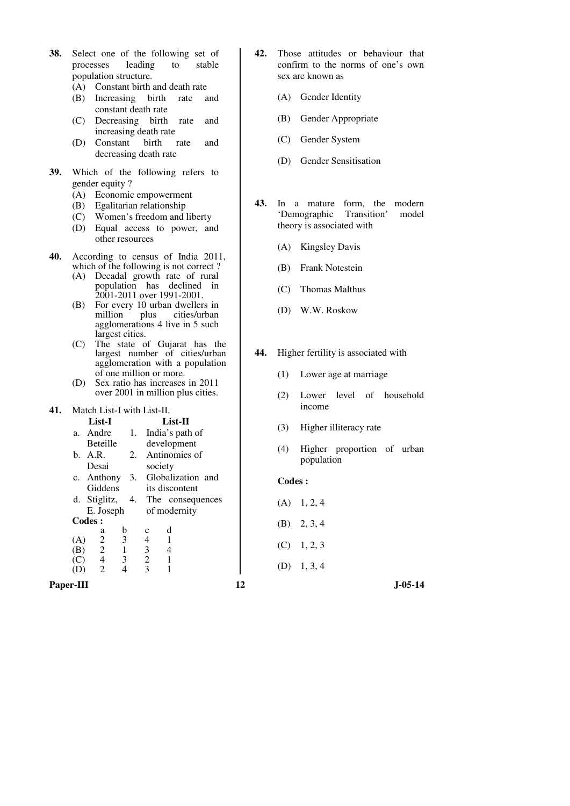| population structure.<br>(A) Constant birth and death rate<br>(B) Increasing birth<br>rate<br>and<br>constant death rate<br>(C) Decreasing birth<br>rate<br>and<br>increasing death rate<br>Constant<br>birth<br>(D)<br>and<br>rate<br>decreasing death rate<br>39.<br>Which of the following refers to<br>gender equity?<br>(A) Economic empowerment<br>(B) Egalitarian relationship<br>(C) Women's freedom and liberty<br>(D) Equal access to power, and<br>other resources<br>40.<br>According to census of India 2011,<br>which of the following is not correct?<br>(A) Decadal growth rate of rural<br>population has declined in<br>2001-2011 over 1991-2001.<br>For every 10 urban dwellers in<br>(B)<br>million plus cities/urban<br>agglomerations 4 live in 5 such<br>largest cities.<br>The state of Gujarat has the<br>(C)<br>largest number of cities/urban<br>agglomeration with a population<br>of one million or more.<br>Sex ratio has increases in 2011<br>(D)<br>over 2001 in million plus cities. | Gender Identity<br>(A)<br>Gender Appropriate<br>(B)<br>Gender System<br>(C)<br>Gender Sensitisation<br>(D)<br>43.<br>In a mature form, the<br>modern<br>'Demographic Transition'<br>model<br>theory is associated with<br><b>Kingsley Davis</b><br>(A)<br>Frank Notestein<br>(B)<br>Thomas Malthus<br>(C)<br>W.W. Roskow<br>(D)<br>44.<br>Higher fertility is associated with<br>(1)<br>Lower age at marriage<br>level of household<br>(2)<br>Lower |
|-----------------------------------------------------------------------------------------------------------------------------------------------------------------------------------------------------------------------------------------------------------------------------------------------------------------------------------------------------------------------------------------------------------------------------------------------------------------------------------------------------------------------------------------------------------------------------------------------------------------------------------------------------------------------------------------------------------------------------------------------------------------------------------------------------------------------------------------------------------------------------------------------------------------------------------------------------------------------------------------------------------------------|-----------------------------------------------------------------------------------------------------------------------------------------------------------------------------------------------------------------------------------------------------------------------------------------------------------------------------------------------------------------------------------------------------------------------------------------------------|
| Match List-I with List-II.<br>41.<br>List-I<br>List-II<br>a. Andre<br>1. India's path of<br>Beteille<br>development<br>Antinomies of<br>b. A.R.<br>2.<br>Desai<br>society<br>Globalization and<br>c. Anthony<br>3.<br>Giddens<br>its discontent<br>d. Stiglitz,<br>4.<br>The consequences<br>E. Joseph<br>of modernity<br>Codes:<br>$\mathbf d$<br>b<br>a<br>$\mathbf c$<br>(A)<br>3<br>4<br>1<br>2<br>$\overline{2}$<br>3<br>(B)<br>$\mathbf{1}$<br>$\overline{4}$<br>$\overline{c}$<br>3<br>$\overline{4}$<br>$\mathbf{1}$<br>(C)<br>3<br>$\overline{2}$<br>$\overline{4}$<br>$\mathbf{1}$<br>(D)<br>Paper-III                                                                                                                                                                                                                                                                                                                                                                                                      | income<br>Higher illiteracy rate<br>(3)<br>Higher proportion of urban<br>(4)<br>population<br>Codes:<br>1, 2, 4<br>(A)<br>2, 3, 4<br>(B)<br>1, 2, 3<br>(C)<br>1, 3, 4<br>(D)<br>12<br>$J - 05 - 14$                                                                                                                                                                                                                                                 |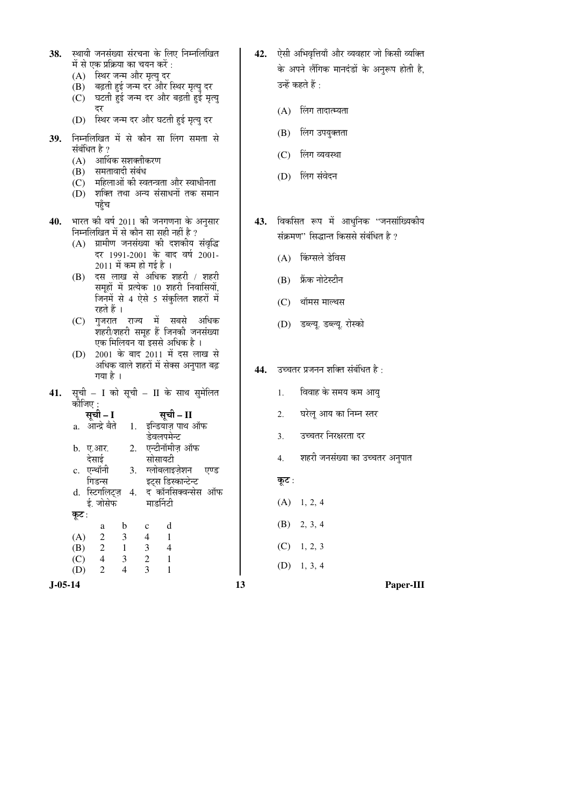| स्थायी जनसंख्या संरचना के लिए निम्नलिखित<br>38.<br>में से एक प्रक्रिया का चयन करें :<br>(A) स्थिर जन्म और मृत्यु दर<br>(B) बढ़ती हुई जन्म दर और स्थिर मृत्यु दर<br>घटती हुई जन्म दर और बढ़ती हुई मृत्यु<br>(C)<br>दर<br>(D) स्थिर जन्म दर और घटती हुई मृत्यु दर<br>निम्नलिखित में से कौन सा लिंग समता से<br>39.                                                                                                                                                                                                                                                                                                                                                                                                             | 42. ऐसी अभिवृत्तियाँ और व्यवहार जो किसी व्यक्ति<br>के अपने लैंगिक मानदंडों के अनुरूप होती है,<br>उन्हें कहते हैं :<br>लिंग तादात्म्यता<br>(A)<br>लिंग उपयुक्तता<br>(B)                                                                                                     |
|-----------------------------------------------------------------------------------------------------------------------------------------------------------------------------------------------------------------------------------------------------------------------------------------------------------------------------------------------------------------------------------------------------------------------------------------------------------------------------------------------------------------------------------------------------------------------------------------------------------------------------------------------------------------------------------------------------------------------------|----------------------------------------------------------------------------------------------------------------------------------------------------------------------------------------------------------------------------------------------------------------------------|
| संबंधित है ?<br>(A) आर्थिक सशक्तीकरण<br>समतावादी संबंध<br>(B)<br>(C)    महिलाओं की स्वतन्त्रता और स्वाधीनता<br>(D)  शक्ति तथा अन्य संसाधनों तक समान<br>पहुँच                                                                                                                                                                                                                                                                                                                                                                                                                                                                                                                                                                | लिंग व्यवस्था<br>(C)<br>लिंग संवेदन<br>(D)                                                                                                                                                                                                                                 |
| भारत की वर्ष 2011 की जनगणना के अनुसार<br>40.<br>निम्नलिखित में से कौन सा सही नहीं है ?<br>(A) ग्रामीण जनसंख्या की दशकीय संवृद्धि<br>दर 1991-2001 के बाद वर्ष 2001-<br>2011 में कम हो गई है ।<br>(B) दस लाख से अधिक शहरी / शहरी<br>समूहों में प्रत्येक 10 शहरी निवासियों,<br>जिनमें से 4 ऐसे 5 संकुलित शहरों में<br>रहते हैं ।<br>गुजरात राज्य में सबसे अधिक<br>(C)<br>शहरी/शहरी समूह हैं जिनकी जनसंख्या<br>एक मिलियन या इससे अधिक है ।<br>2001 के बाद 2011 में दस लाख से<br>(D)                                                                                                                                                                                                                                             | 43. विकसित रूप में आधुनिक ''जनसांख्यिकीय<br>संक्रमण" सिद्धान्त किससे संबंधित है ?<br>(A) किंग्सले डेविस<br>(B) फ्रैंक नोटेस्टीन<br>(C)<br>थॉमस माल्थस<br>(D) डब्ल्यू. डब्ल्यू. रोस्को                                                                                      |
| अधिक वाले शहरों में सेक्स अनुपात बढ़<br>गया है ।<br>सूची – I को सूची – II के साथ सुमेलित<br>41.<br>कीजिए :<br>सूची – I<br>सूची – II<br>a. आन्द्रे बैते<br>1.   इन्डियाज़ पाथ ऑफ<br>डेवलपमेन्ट<br>2. एन्टीनॉमीज़ ऑफ<br>b. ए.आर.<br>देसाई<br>सोसायटी<br>c. एन्थॉनी<br>3.<br>ग्लोबलाइज़ेशन<br>एण्ड<br>इटस डिस्कान्टेन्ट<br>गिडन्स<br>द कॉनसिक्वन्सेस ऑफ<br>d. स्टिगलिट्ज़<br>4.<br>माडर्निटी<br>ई. जोसेफ<br>कूट :<br>d<br>b<br>$\mathbf c$<br>a<br>3<br>$\overline{4}$<br>(A)<br>$\overline{c}$<br>1<br>$\mathfrak{Z}$<br>$\overline{4}$<br>(B)<br>$\overline{c}$<br>$\mathbf{1}$<br>$\overline{4}$<br>$\overline{2}$<br>(C)<br>3<br>$\mathbf{1}$<br>3<br>$\overline{4}$<br>$\mathbf{1}$<br>(D)<br>$\overline{2}$<br>$J-05-14$ | 44. उच्चतर प्रजनन शक्ति संबंधित है :<br>विवाह के समय कम आयु<br>1.<br>घरेलू आय का निम्न स्तर<br>2.<br>उच्चतर निरक्षरता दर<br>3.<br>शहरी जनसंख्या का उच्चतर अनुपात<br>4.<br>कूट :<br>(A)<br>1, 2, 4<br>(B)<br>2, 3, 4<br>1, 2, 3<br>(C)<br>(D)<br>1, 3, 4<br>13<br>Paper-III |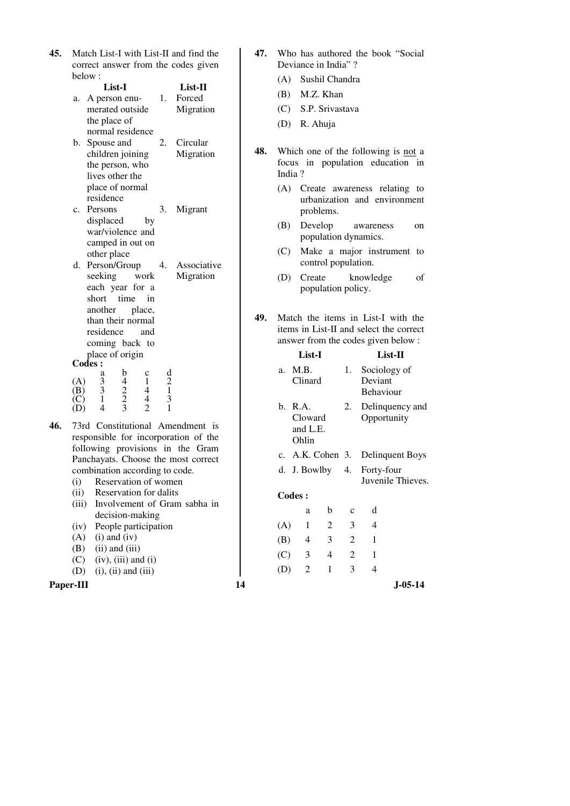| <b>45.</b> Match List-I with List-II and find the |  |  |  |  |
|---------------------------------------------------|--|--|--|--|
| correct answer from the codes given               |  |  |  |  |
| below:                                            |  |  |  |  |

|    | List-I           |    | List-II     |
|----|------------------|----|-------------|
| a. | A person enu-    | 1. | Forced      |
|    | merated outside  |    | Migration   |
|    | the place of     |    |             |
|    | normal residence |    |             |
| b. | Spouse and       | 2. | Circular    |
|    | children joining |    | Migration   |
|    | the person, who  |    |             |
|    | lives other the  |    |             |
|    | place of normal  |    |             |
|    | residence        |    |             |
| c. | Persons          | 3. | Migrant     |
|    | displaced<br>by  |    |             |
|    | war/violence and |    |             |
|    | camped in out on |    |             |
|    | other place      |    |             |
| d. | Person/Group     |    | Associative |
|    |                  |    |             |

- seeking work each year for a short time in another place, than their normal residence and coming back to place of origin Migration **Codes :**  a b c d (A) 3 4 1 2 (B) 3 2 4 1
- (C) 1 2 4 3 (D) 4 3 2 1
- **46.** 73rd Constitutional Amendment is responsible for incorporation of the following provisions in the Gram Panchayats. Choose the most correct combination according to code.
	- (i) Reservation of women
	- (ii) Reservation for dalits
	- (iii) Involvement of Gram sabha in decision-making
	- (iv) People participation
	- $(A)$  (i) and (iv)
	- $(B)$  (ii) and (iii)
	- $(C)$  (iv), (iii) and (i) (D) (i), (ii) and (iii)

**Paper-III** 14

- **47.** Who has authored the book "Social Deviance in India" ?
	- (A) Sushil Chandra
	- (B) M.Z. Khan
	- (C) S.P. Srivastava
	- (D) R. Ahuja
- **48.** Which one of the following is not a focus in population education in India ?
	- (A) Create awareness relating to urbanization and environment problems.
	- (B) Develop awareness on population dynamics.
	- (C) Make a major instrument to control population.
	- (D) Create knowledge of population policy.
- **49.** Match the items in List-I with the items in List-II and select the correct answer from the codes given below :

| List-I                |                                         |    |                             |              | List-II                        |  |
|-----------------------|-----------------------------------------|----|-----------------------------|--------------|--------------------------------|--|
| M.B.<br>a.<br>Clinard |                                         | 1. | Deviant<br><b>Behaviour</b> | Sociology of |                                |  |
|                       | b. R.A.<br>Cloward<br>and L.E.<br>Ohlin |    | 2.                          |              | Delinquency and<br>Opportunity |  |
|                       | c. A.K. Cohen 3. Delinquent Boys        |    |                             |              |                                |  |
|                       | d. J. Bowlby 4. Forty-four              |    |                             |              | Juvenile Thieves.              |  |
|                       | <b>Codes:</b>                           |    |                             |              |                                |  |
|                       | a                                       | b  | $\mathbf c$                 | d            |                                |  |
| (A)                   | 1                                       | 2  | 3                           | 4            |                                |  |
| (B)                   | 4                                       | 3  | 2                           | 1            |                                |  |
|                       | (C) 3                                   | 4  | $\overline{2}$              | 1            |                                |  |
| (D)                   | $\overline{c}$                          | 1  | 3                           | 4            |                                |  |
|                       |                                         |    |                             |              | J-05-14                        |  |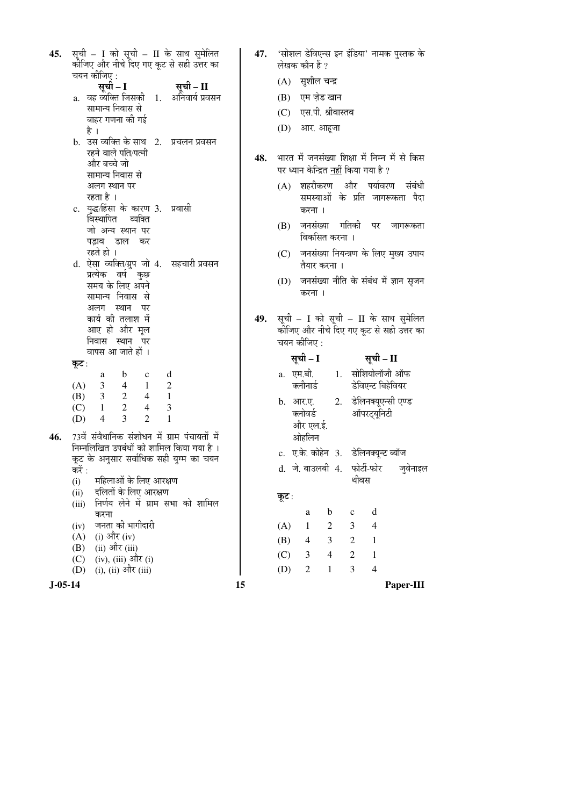| 45.           | सूची – I को सूची – II के साथ सुमेलित<br>कोजिए और नीचे दिए गए कूट से सही उत्तर का                                  | 47. | 'सोशल डेविएन्स इन इंडिया' नामक पुस्तक के<br>लेखक कौन हैं ?      |
|---------------|-------------------------------------------------------------------------------------------------------------------|-----|-----------------------------------------------------------------|
|               | चयन कीजिए :                                                                                                       |     |                                                                 |
|               | सूची – I<br>सूची – II                                                                                             |     | (A) सुशील चन्द्र                                                |
|               | a. वह व्यक्ति जिसकी 1. अनिवार्य प्रवसन<br>सामान्य निवास से                                                        |     | एम ज़ेड खान<br>(B)                                              |
|               | बाहर गणना की गई                                                                                                   |     | (C) एस.पी. श्रीवास्तव                                           |
|               | है ।                                                                                                              |     | (D) आर. आहूजा                                                   |
|               | b. उस व्यक्ति के साथ 2.<br>प्रचलन प्रवसन                                                                          |     |                                                                 |
|               | रहने वाले पति/पत्नी                                                                                               | 48. | भारत में जनसंख्या शिक्षा में निम्न में से किस                   |
|               | और बच्चे जो<br>सामान्य निवास से                                                                                   |     | पर ध्यान केन्द्रित नहीं किया गया है ?                           |
|               | अलग स्थान पर                                                                                                      |     | (A) शहरीकरण और पर्यावरण संबंधी                                  |
|               | रहता है ।                                                                                                         |     | समस्याओं के प्रति जागरूकता पैदा                                 |
|               | c.  युद्ध/हिंसा के कारण 3.<br>प्रवासी<br>विस्थापित व्यक्ति                                                        |     | करना ।                                                          |
|               | जो अन्य स्थान पर                                                                                                  |     | (B) जनसंख्या गतिकी पर जागरूकता                                  |
|               | पड़ाव डाल कर                                                                                                      |     | विकसित करना ।                                                   |
|               | रहते हो ।                                                                                                         |     | (C) जनसंख्या नियन्त्रण के लिए मुख्य उपाय                        |
|               | d. ऐसा व्यक्ति/ग्रुप जो 4. सहचारी प्रवसन                                                                          |     | तैयार करना ।                                                    |
|               | प्रत्येक वर्ष कुछ<br>समय के लिए अपने                                                                              |     | (D) जनसंख्या नीति के संबंध में ज्ञान सृजन                       |
|               | सामान्य निवास से                                                                                                  |     | करना ।                                                          |
|               | अलग स्थान पर                                                                                                      |     |                                                                 |
|               | कार्य की तलाश में                                                                                                 | 49. | सूची – I को सूची – II के साथ सुमेलित                            |
|               | आए हो और मूल<br>निवास स्थान पर                                                                                    |     | कीजिए और नीचे दिए गए कूट से सही उत्तर का<br>चयन कीजिए :         |
|               | वापस आ जाते हों ।                                                                                                 |     | सूची – I<br>सूची – II                                           |
|               | कूट :                                                                                                             |     |                                                                 |
|               | d<br>$\mathbf b$<br>$\mathbf c$<br>a<br>$\mathbf{1}$<br>(A)<br>$\mathfrak{Z}$<br>$\overline{4}$<br>$\overline{c}$ |     | 1. सोशियोलॉजी ऑफ<br>a. एम.बी.<br>डेविएन्ट बिहेवियर<br>क्लीनार्ड |
|               | 2<br>$\mathbf{1}$<br>(B)<br>3 <sup>7</sup><br>$\overline{4}$                                                      |     | 2. डेलिनक्यूएन्सी एण्ड                                          |
|               | $\overline{2}$<br>3<br>$\overline{4}$<br>(C)<br>$\mathbf{1}$                                                      |     | b. आर.ए.<br>क्लोवर्ड<br>ऑपरट्यूनिटी                             |
|               | 3<br>$\overline{2}$<br>$\mathbf{1}$<br>(D)<br>$\overline{4}$                                                      |     | और एल.ई.                                                        |
| 46.           | 73वें संवैधानिक संशोधन में ग्राम पंचायतों में                                                                     |     | ओहलिन                                                           |
|               | निम्नलिखित उपबंधों को शामिल किया गया है ।<br>कूट के अनुसार सर्वाधिक सही युग्म का चयन                              |     | c. ए.के. कोहेन 3. डेलिनक्यून्ट ब्यॉज                            |
|               | करें :                                                                                                            |     | d. जे. बाउलबी 4. फोर्टी-फोर<br>जुवेनाइल                         |
|               | महिलाओं के लिए आरक्षण<br>(i)                                                                                      |     | थीवस                                                            |
|               | दलितों के लिए आरक्षण<br>(ii)                                                                                      |     | कूट∶                                                            |
|               | निर्णय लेने में ग्राम सभा को शामिल<br>(iii)<br>करना                                                               |     | d<br>b<br>$\mathbf{C}$<br>a                                     |
|               | जनता की भागीदारी<br>(iv)                                                                                          |     | 3<br>(A)<br>1<br>2<br>4                                         |
|               | (i) और (iv)<br>(A)                                                                                                |     | (B)<br>3<br>2<br>$\mathbf{1}$<br>4                              |
|               | (ii) और (iii)<br>(B)                                                                                              |     | $\overline{2}$<br>(C)<br>3<br>4<br>$\mathbf{1}$                 |
|               | (iv), (iii) और (i)<br>(C)<br>(i), (ii) और (iii)<br>(D)                                                            |     | 3<br>$\overline{4}$<br>(D)<br>2<br>1                            |
| $J - 05 - 14$ |                                                                                                                   | 15  | Paper-III                                                       |
|               |                                                                                                                   |     |                                                                 |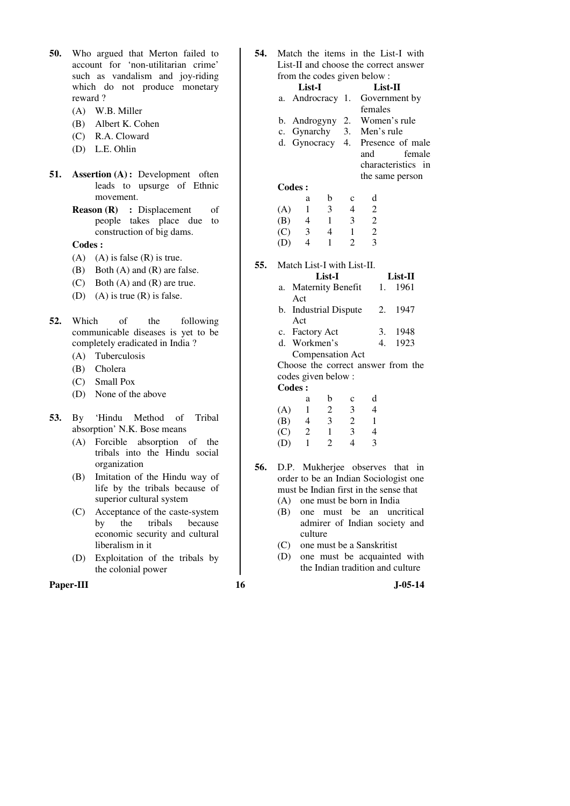- **50.** Who argued that Merton failed to account for 'non-utilitarian crime' such as vandalism and joy-riding which do not produce monetary reward ?
	- (A) W.B. Miller
	- (B) Albert K. Cohen
	- (C) R.A. Cloward
	- (D) L.E. Ohlin
- **51. Assertion (A) :** Development often leads to upsurge of Ethnic movement.
	- **Reason (R)** : Displacement of people takes place due to construction of big dams.

**Codes :** 

- $(A)$  (A) is false  $(R)$  is true.
- (B) Both (A) and (R) are false.
- (C) Both (A) and (R) are true.
- (D) (A) is true  $(R)$  is false.
- **52.** Which of the following communicable diseases is yet to be completely eradicated in India ?
	- (A) Tuberculosis
	- (B) Cholera
	- (C) Small Pox
	- (D) None of the above
- **53.** By 'Hindu Method of Tribal absorption' N.K. Bose means
	- (A) Forcible absorption of the tribals into the Hindu social organization
	- (B) Imitation of the Hindu way of life by the tribals because of superior cultural system
	- (C) Acceptance of the caste-system by the tribals because economic security and cultural liberalism in it
	- (D) Exploitation of the tribals by the colonial power

Paper-III **16** J-05-14

**54.** Match the items in the List-I with List-II and choose the correct answer from the codes given below :

|        | List-I |  | List-II                          |        |
|--------|--------|--|----------------------------------|--------|
|        |        |  | a. Androcracy 1. Government by   |        |
|        |        |  | females                          |        |
|        |        |  | b. Androgyny 2. Women's rule     |        |
|        |        |  | c. Gynarchy 3. Men's rule        |        |
|        |        |  | d. Gynocracy 4. Presence of male |        |
|        |        |  | and                              | female |
|        |        |  | characteristics in               |        |
|        |        |  | the same person                  |        |
| Codes: |        |  |                                  |        |
|        | a      |  |                                  |        |

| . . | ັ | $\check{~}$ | $\tilde{\phantom{a}}$ |
|-----|---|-------------|-----------------------|
|     | 3 | 4           | 2                     |
| 4   |   | 3           | 2                     |
| 3   | 4 |             | 2                     |
| 1   |   | 2           | 3                     |
|     |   |             |                       |

**55.** Match List-I with List-II.

| List-I                |    | List-II |
|-----------------------|----|---------|
| a. Maternity Benefit  |    | 1. 1961 |
| Act                   |    |         |
| b. Industrial Dispute |    | 2. 1947 |
| Act                   |    |         |
| c. Factory Act        | 3. | 1948    |
| d. Workmen's          |    | 1923    |

Compensation Act

 Choose the correct answer from the codes given below :

| Codes: |   |   |             |   |
|--------|---|---|-------------|---|
|        | a | b | $\mathbf c$ | d |
| (A)    |   | 2 | 3           | 4 |
| (B)    | 4 | 3 | 2           | 1 |
| (C)    | 2 | 1 | 3           | 4 |
| (D)    |   | 2 | 4           | 3 |
|        |   |   |             |   |

- **56.** D.P. Mukherjee observes that in order to be an Indian Sociologist one must be Indian first in the sense that
	- (A) one must be born in India
	- (B) one must be an uncritical admirer of Indian society and culture
	- (C) one must be a Sanskritist
	- (D) one must be acquainted with the Indian tradition and culture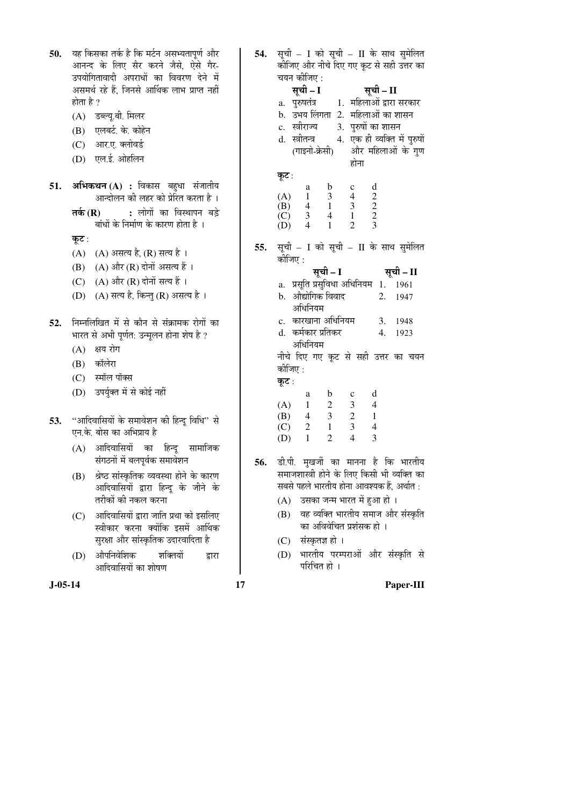50. यह किसका तर्क है कि मर्टन असभ्यतापूर्ण और आनन्द के लिए सैर करने जैसे, ऐसे गैर-उपयोगितावादी अपराधों का विवरण देने में असमर्थ रहे हैं, जिनसे आर्थिक लाभ प्राप्त नहीं होता है ?

- (A) डब्ल्यू.बी. मिलर
- (B) एलबर्ट के कोहेन
- (C) आर.ए. क्लोवर्ड
- (D) एल.ई. ओहलिन
- 51. **अभिकथन (A) :** विकास बहुधा संजातीय आन्दोलन की लहर को प्रेरित करता है ।
	- **तर्क (R) :** लोगों का विस्थापन बडे बांधों के निर्माण के कारण होता है ।

कुट:

- (A) (A) असत्य है, (R) सत्य है ।
- $(B)$   $(A)$  और  $(R)$  दोनों असत्य हैं।
- (C)  $(A)$  और  $(R)$  दोनों सत्य हैं।
- (D) (A) सत्य है, किन्तु (R) असत्य है।
- 52. निम्नलिखित में से कौन से संक्रामक रोगों का भारत से अभी पर्णत: उन्मलन होना शेष है ?
	- $(A)$  क्षय रोग
	- (B) कॉलेरा
	- (C) स्मॉल पॉक्स
	- (D) उपर्युक्त में से कोई नहीं
- 53. "आदिवासियों के समावेशन की हिन्दू विधि" से एन.के. बोस का अभिप्राय है
	- $(A)$  आदिवासियों का हिन्द सामाजिक संगठनों में बलपूर्वक समावेशन
	- (B) श्रेष्ठ सांस्कृतिक व्यवस्था होने के कारण आदिवासियों द्वारा हिन्दू के जीने के तरीकों की नकल करना
	- (C) आदिवासियों द्वारा जाति प्रथा को इसलिए स्वीकार करना क्योंकि इसमें आर्थिक सरक्षा और सांस्कृतिक उदारवादिता है
	- (D) औपनिवेशिक शक्तियों द्वारा आदिवासियों का शोषण

54. सूची – I को सूची – II के साथ सुमेलित कीजिए और नीचे दिए गए कूट से सही उत्तर का चयन कीजिए : सूची – I सूची – II a. पुरुषतंत्र 1. महिलाओं द्वारा सरकार b. उभय लिंगता 2. महिलाओं का शासन c. स्त्रीराज्य 3. पुरुषों का शासन d. स्त्रीतन्त्र (गाइनो-क्रेसी) 4. एक ही व्यक्ति में पुरुषों और महिलाओं के गुण होना कूट: a b c d (A) 1 3 4 2 (B)  $\begin{array}{cccc} 4 & 1 & 3 & 2 \\ 1 & 3 & 2 & 2 \\ 1 & 3 & 4 & 1 & 2 \end{array}$  $\begin{array}{cccc} \text{(C)} & 3 & 4 & 1 & 2 \\ \text{(D)} & 4 & 1 & 2 & 3 \end{array}$  $(D)$ **55.** सूची – I को सूची – II के साथ सुमेलित कीजिए : ÃÖæ"Öß **– I** ÃÖæ"Öß **– II**  a. प्रसति प्रसविधा अधिनियम $1.$   $1961$ b. औद्योगिक विवाद अधिनियम 2. 1947 c. कारखाना अधिनियम 3. 1948 d. कर्मकार प्रतिकर अधिनियम 4. 1923 नीचे दिए गए कूट से सही उत्तर का चयन कीजिए : कूट : a b c d (A)  $1 \t 2 \t 3 \t 4$ <br>(B)  $4 \t 3 \t 2 \t 1$  (B) 4 3 2 1 (C) 2 1 3 4 (D) 1 2 4 3 56. डी.पी. मुखर्जी का मानना है कि भारतीय समाजशास्त्री होने के लिए किसी भी व्यक्ति का सबसे पहले भारतीय होना आवश्यक हैं, अर्थात :  $(A)$  उसका जन्म भारत में हुआ हो । (B) वह व्यक्ति भारतीय समाज और संस्कृति का अविवेचित प्रशंसक हो । (C) संस्कृतज्ञ हो ।

(D) भारतीय परम्पराओं और संस्कृति से परिचित हो $\perp$ 

**J-05-14 17 Paper-III**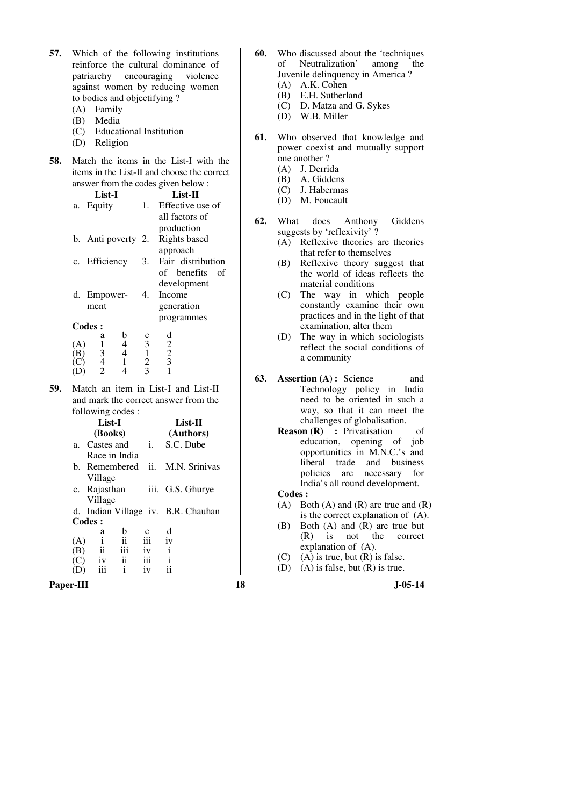- **57.** Which of the following institutions reinforce the cultural dominance of patriarchy encouraging violence against women by reducing women to bodies and objectifying ?
	- (A) Family
	- (B) Media
	- (C) Educational Institution
	- (D) Religion
- **58.** Match the items in the List-I with the items in the List-II and choose the correct answer from the codes given below :

| List-I             |    | List-II           |
|--------------------|----|-------------------|
| Equity<br>a.       | 1. | Effective use of  |
|                    |    | all factors of    |
|                    |    | production        |
| b. Anti poverty 2. |    | Rights based      |
|                    |    | approach          |
| c. Efficiency      | 3. | Fair distribution |
|                    |    | of benefits<br>оf |
|                    |    | development       |
| d. Empower-        | 4. | Income            |
| ment               |    | generation        |
|                    |    | programmes        |
| Codes:             |    |                   |
| а                  |    | d                 |
| A                  | 3  | $\overline{c}$    |
| 3                  |    | $\overline{2}$    |

 (C) 4 1 2 3 (D) 2 4 3 1 **59.** Match an item in List-I and List-II and mark the correct answer from the

|                   | following codes:    |                         |      |                                    |
|-------------------|---------------------|-------------------------|------|------------------------------------|
|                   | List-I              |                         |      | List-II                            |
|                   | (Books)             |                         |      | (Authors)                          |
|                   | a. Castes and       |                         | i.   | S.C. Dube                          |
|                   | Race in India       |                         |      |                                    |
|                   | b. Remembered       |                         | ii.  | M.N. Srinivas                      |
|                   | Village             |                         |      |                                    |
|                   | c. Rajasthan        |                         | iii. | G.S. Ghurye                        |
|                   | Village             |                         |      |                                    |
|                   |                     |                         |      | d. Indian Village iv. B.R. Chauhan |
|                   | Codes:              |                         |      |                                    |
|                   | a                   | h                       |      | d                                  |
| (A)               | $\mathbf{i}$        | ii                      | iii  | iv                                 |
| (B)               | $\ddot{\mathbf{i}}$ |                         | iv   | i                                  |
| $\left( C\right)$ | iv                  | $\overline{\mathbf{u}}$ | iii  | i                                  |
|                   |                     | i                       | iv   |                                    |

**Paper-III 18 J-05-14**

- **60.** Who discussed about the 'techniques of Neutralization' among the Juvenile delinquency in America ?
	- (A) A.K. Cohen
	- (B) E.H. Sutherland
	- (C) D. Matza and G. Sykes
	- (D) W.B. Miller
- **61.** Who observed that knowledge and power coexist and mutually support one another ?
	- (A) J. Derrida
	- (B) A. Giddens
	- (C) J. Habermas
	- (D) M. Foucault
- **62.** What does Anthony Giddens suggests by 'reflexivity' ?
	- (A) Reflexive theories are theories that refer to themselves
	- (B) Reflexive theory suggest that the world of ideas reflects the material conditions
	- (C) The way in which people constantly examine their own practices and in the light of that examination, alter them
	- (D) The way in which sociologists reflect the social conditions of a community
- **63. Assertion (A) :** Science and Technology policy in India need to be oriented in such a way, so that it can meet the challenges of globalisation.
	- **Reason (R)** : Privatisation of education, opening of job opportunities in M.N.C.'s and liberal trade and business policies are necessary for India's all round development.

**Codes :** 

- $(A)$  Both  $(A)$  and  $(R)$  are true and  $(R)$ is the correct explanation of (A).
- (B) Both (A) and (R) are true but (R) is not the correct explanation of (A).
- $(C)$  (A) is true, but  $(R)$  is false.
- (D) (A) is false, but (R) is true.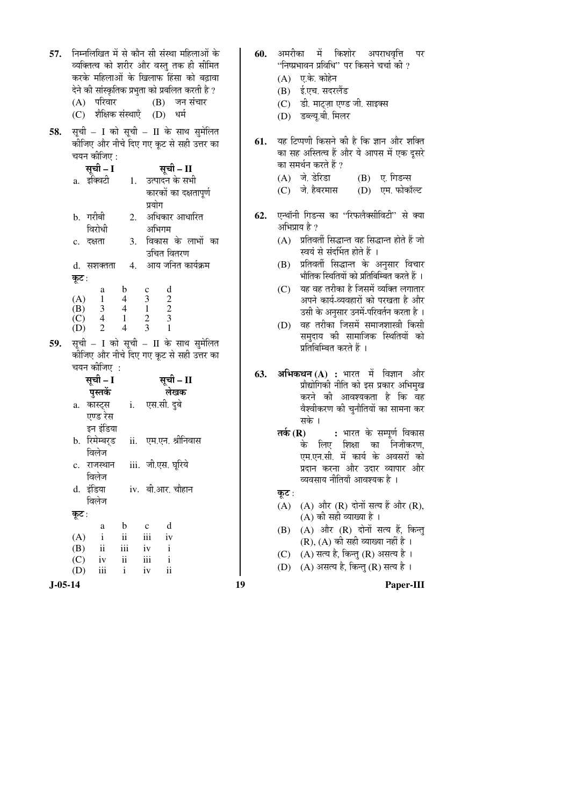| 57.           | निम्नलिखित में से कौन सी संस्था महिलाओं के<br>व्यक्तित्व को शरीर और वस्तु तक ही सीमित<br>करके महिलाओं के खिलाफ हिंसा को बढ़ावा                                                                                                                                                                                                                     | 60.        | अमरीका में किशोर अपराधवृत्ति<br>पर<br>''निष्प्रभावन प्रविधि'' पर किसने चर्चा की ?<br>(A) ए.के. कोहेन                                                                                                                                                                                                                                                                                       |
|---------------|----------------------------------------------------------------------------------------------------------------------------------------------------------------------------------------------------------------------------------------------------------------------------------------------------------------------------------------------------|------------|--------------------------------------------------------------------------------------------------------------------------------------------------------------------------------------------------------------------------------------------------------------------------------------------------------------------------------------------------------------------------------------------|
|               | देने की सांस्कृतिक प्रभुता को प्रबलित करती है ?<br>(A) परिवार           (B) जन संचार<br>(C) शैक्षिक संस्थाएँ (D) धर्म                                                                                                                                                                                                                              |            | (B) ई.एच. सदरलैंड<br>डी. माट्ज़ा एण्ड जी. साइक्स<br>(C)<br>डब्ल्यू.बी. मिलर<br>(D)                                                                                                                                                                                                                                                                                                         |
| 58.           | सूची – I को सूची – II के साथ सुमेलित<br>कीजिए और नीचे दिए गए कूट से सही उत्तर का<br>चयन कीजिए :<br>सूची – I<br>सूची – II<br>a. इंक्विटी 1. उत्पादन के सभी<br>कारकों का दक्षतापूर्ण<br>प्रयोग<br>2. अधिकार आधारित<br>b. गरीबी<br>विरोधी<br>अभिगम<br>विकास के लाभों का<br>3.<br>c. दक्षता<br>उचित वितरण<br>4. आय जनित कार्यक्रम<br>d. सशक्तता        | 61.<br>62. | यह टिप्पणी किसने की है कि ज्ञान और शक्ति<br>का सह अस्तित्व हैं और ये आपस में एक दूसरे<br>का समर्थन करते हैं ?<br>(A) जे. डेरिडा<br>(B) ए. गिडन्स<br>(C) जे. हैबरमास (D) एम. फोकॉल्ट<br>एन्थॉनी गिडन्स का ''रिफलैक्सीविटी'' से क्या<br>अभिप्राय है ?<br>प्रतिवर्ती सिद्धान्त वह सिद्धान्त होते हैं जो<br>(A)<br>स्वयं से संदर्भित होते हैं ।<br>प्रतिवर्ती सिद्धान्त के अनुसार विचार<br>(B) |
| 59.           | कूट :<br>$\mathbf b$<br>d<br>$\mathbf c$<br>a<br>$\begin{pmatrix} 2 \\ 2 \\ 2 \\ 3 \end{pmatrix}$<br>(A)<br>$\begin{array}{cccc} 1 & 4 & 3 \\ 3 & 4 & 1 \\ 4 & 1 & 2 \end{array}$<br>(B)<br>$\frac{2}{3}$<br>(C)<br>$\overline{4}$<br>2<br>$\mathbf{1}$<br>(D)<br>सूची - I को सूची - II के साथ सुमेलित<br>कीजिए और नीचे दिए गए कूट से सही उत्तर का |            | भौतिक स्थितियों को प्रतिबिम्बित करते हैं ।<br>यह वह तरीका है जिसमें व्यक्ति लगातार<br>(C)<br>अपने कार्य-व्यवहारों को परखता है और<br>उसी के अनुसार उनमें-परिवर्तन करता है ।<br>वह तरीका जिसमें समाजशास्त्री किसी<br>(D)<br>समुदाय की सामाजिक स्थितियों को<br>प्रतिबिम्बित करते हैं ।                                                                                                        |
|               | चयन कीजिए :<br>सूची – I<br>सूची – II<br>पुस्तकें<br>लेखक<br>a. कास्ट्स 1. एस.सी. दुबे<br>एण्ड रेस<br>इन इंडिया<br>b. रिमेम्बर् <b>ड</b><br>ii. एम.एन. श्रीनिवास<br>विलेज<br>c. राजस्थान iii. जी.एस. घूरिये                                                                                                                                         | 63.        | <b>अभिकथन (A) :</b> भारत में विज्ञान और<br>प्रौद्योगिकी नीति को इस प्रकार अभिमुख<br>करने की आवश्यकता है कि वह<br>वैश्वीकरण की चुनौतियों का सामना कर<br>सके ।<br>तर्क (R) : भारत के सम्पूर्ण विकास<br>के लिए शिक्षा का निजीकरण,<br>एम.एन.सी. में कार्य के अवसरों को<br>प्रदान करना और उदार व्यापार और                                                                                       |
|               | विलेज<br>d. इंडिया<br>iv. बी.आर. चौहान<br>विलेज<br>कूट :                                                                                                                                                                                                                                                                                           |            | व्यवसाय नीतियाँ आवश्यक है ।<br>कूट :<br>(A) और (R) दोनों सत्य हैं और (R),<br>(A)                                                                                                                                                                                                                                                                                                           |
|               | d<br>b<br>$\mathbf c$<br>a<br>$\ddot{\rm n}$<br>iii<br>$\mathbf{i}$<br>(A)<br>iv<br>(B)<br>iii<br>$\mathbf{i}$<br>$\overline{\mathbf{u}}$<br>iv<br>$\mathbf{ii}$<br>iii<br>$\mathbf{i}$<br>(C)<br>iv<br>$\mathbf{ii}$<br>iii<br>(D)<br>$\mathbf{i}$<br>iv                                                                                          |            | (A) की सही व्याख्या है ।<br>(A) और (R) दोनों सत्य हैं, किन्तु<br>(B)<br>$(R)$ , $(A)$ की सही व्याख्या नहीं है।<br>(A) सत्य है, किन्तु (R) असत्य है।<br>(C)<br>(A) असत्य है, किन्तु (R) सत्य है।<br>(D)                                                                                                                                                                                     |
| $J - 05 - 14$ |                                                                                                                                                                                                                                                                                                                                                    | 19         | Paper-III                                                                                                                                                                                                                                                                                                                                                                                  |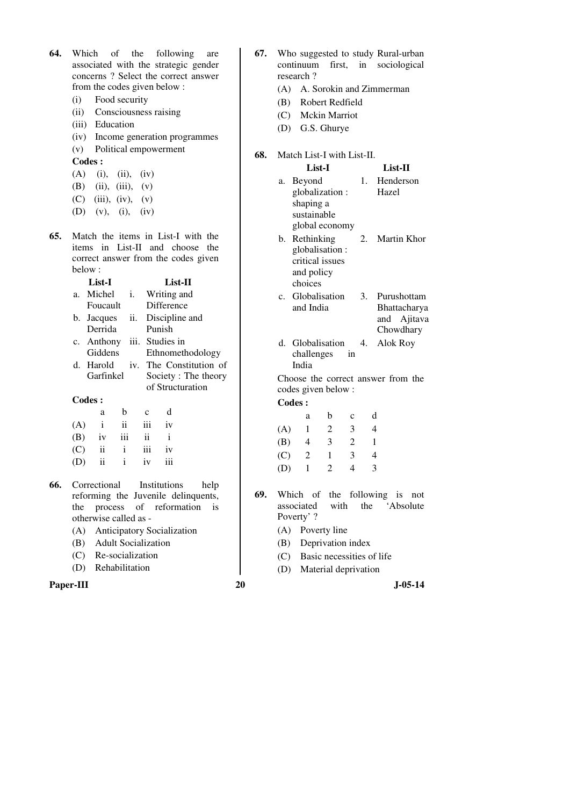- **64.** Which of the following are associated with the strategic gender concerns ? Select the correct answer from the codes given below :
	- (i) Food security
	- (ii) Consciousness raising
	- (iii) Education
	- (iv) Income generation programmes
	- (v) Political empowerment

**Codes :** 

- $(A)$  (i), (ii), (iv)
- (B) (ii), (iii), (v)
- $(C)$  (iii), (iv), (v)
- (D) (v), (i), (iv)
- **65.** Match the items in List-I with the items in List-II and choose the correct answer from the codes given below :

|     | List-I          |     |             | List-II        |                         |  |
|-----|-----------------|-----|-------------|----------------|-------------------------|--|
| a.  | Michel          | i.  |             | Writing and    |                         |  |
|     | Foucault        |     |             | Difference     |                         |  |
|     | b. Jacques      | ii. |             | Discipline and |                         |  |
|     | Derrida         |     |             | Punish         |                         |  |
|     | c. Anthony iii. |     |             | Studies in     |                         |  |
|     | Giddens         |     |             |                | Ethnomethodology        |  |
|     | d. Harold       |     |             |                | iv. The Constitution of |  |
|     | Garfinkel       |     |             |                | Society: The theory     |  |
|     |                 |     |             |                | of Structuration        |  |
|     | Codes:          |     |             |                |                         |  |
|     | a               | b   | $\mathbf c$ | d              |                         |  |
| (A) | i               | ii  | iii         | iv             |                         |  |
| (B) | 1V              | iii | ii          | $\mathbf{i}$   |                         |  |
| (C) | ii              | i   | iii         | 1V             |                         |  |
|     |                 |     |             |                |                         |  |

- **66.** Correctional Institutions help reforming the Juvenile delinquents, the process of reformation is otherwise called as -
	- (A) Anticipatory Socialization
	- (B) Adult Socialization

(D) ii i iv iii

- (C) Re-socialization
- (D) Rehabilitation

### **Paper-III** 30 J-05-14

- **67.** Who suggested to study Rural-urban continuum first, in sociological research ?
	- (A) A. Sorokin and Zimmerman
	- (B) Robert Redfield
	- (C) Mckin Marriot
	- (D) G.S. Ghurye

### **68.** Match List-I with List-II.

- **List-I List-II**  a. Beyond globalization : shaping a sustainable global economy 1. Henderson Hazel b. Rethinking globalisation : 2. Martin Khor
- critical issues and policy choices
- c. Globalisation and India 3. Purushottam Bhattacharya and Ajitava Chowdhary
- d. Globalisation challenges in India 4. Alok Roy

 Choose the correct answer from the codes given below :

**Codes :** 

|     | а | b | c | d |
|-----|---|---|---|---|
| (A) | 1 | 2 | 3 | 4 |
| (B) | 4 | 3 | 2 |   |
| (C) | 2 |   | 3 | 4 |
| (D) |   | 2 | 4 | 3 |

- **69.** Which of the following is not associated with the 'Absolute Poverty' ?
	- (A) Poverty line
	- (B) Deprivation index
	- (C) Basic necessities of life
	- (D) Material deprivation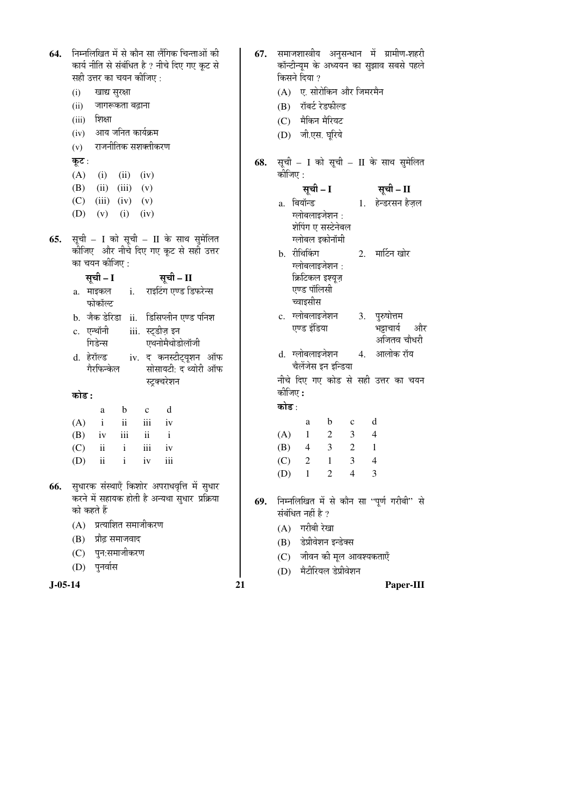| 64.       | निम्नलिखित में से कौन सा लैंगिक चिन्ताओं की<br>कार्य नीति से संबंधित है ? नीचे दिए गए कूट से<br>सही उत्तर का चयन कीजिए:<br>खाद्य सुरक्षा<br>(i)<br>जागरूकता बढ़ाना<br>(ii)<br>शिक्षा<br>(iii)<br>आय जनित कार्यक्रम<br>(iv)<br>राजनीतिक सशक्तीकरण<br>(v) | 67. | समाजशास्त्रीय अनुसन्धान में ग्रामीण-शहरी<br>कॉन्टीन्यूम के अध्ययन का सुझाव सबसे पहले<br>किसने दिया ?<br>(A) ए. सोरोकिन और जिमरमैन<br>(B) रॉबर्ट रेडफील्ड<br>(C) मैकिन मैरियट<br>(D) जी.एस. घूरिये |
|-----------|---------------------------------------------------------------------------------------------------------------------------------------------------------------------------------------------------------------------------------------------------------|-----|---------------------------------------------------------------------------------------------------------------------------------------------------------------------------------------------------|
|           | कूट :<br>(A)                                                                                                                                                                                                                                            | 68. | सूची – I को सूची – II के साथ सुमेलित<br>कोजिए :                                                                                                                                                   |
|           | $(i)$ $(ii)$ $(iv)$<br>$(ii)$ $(iii)$ $(v)$<br>(B)                                                                                                                                                                                                      |     | सूची – I<br>सूची – II                                                                                                                                                                             |
|           | (C)<br>$(iii)$ $(iv)$ $(v)$<br>(D)<br>(v)<br>(i)<br>(iv)                                                                                                                                                                                                |     | a. बियॉन्ड           1. हेन्डरसन हैज़ल<br>ग्लोबलाइजेशन :<br>शेपिंग ए सस्टेनेबल                                                                                                                    |
| 65.       | सूची - I को सूची - II के साथ सुमेलित<br>कीजिए और नीचे दिए गए कूट से सही उत्तर                                                                                                                                                                           |     | ग्लोबल इकोनॉमी                                                                                                                                                                                    |
|           | का चयन कीजिए :                                                                                                                                                                                                                                          |     | 2. मार्टिन खोर<br>b. रीथिकिंग<br>ग्लोबलाइजेशन :                                                                                                                                                   |
|           | सूची – I<br>सूची – II<br>राइटिंग एण्ड डिफरेन्स<br>a. माइकल i.<br>फोकॉल्ट                                                                                                                                                                                |     | क्रिटिकल इश्यूज़<br>एण्ड पॉलिसी<br>च्वाइसीस                                                                                                                                                       |
|           | b. जैक डेरिडा ii. डिसिप्लीन एण्ड पनिश                                                                                                                                                                                                                   |     | c. ग्लोबलाइजेशन<br>3. पुरुषोत्तम                                                                                                                                                                  |
|           | iii. स्ट्डीज़ इन<br>c. एन्थॉनी                                                                                                                                                                                                                          |     | एण्ड इंडिया<br>भट्टाचार्य<br>और<br>अजितव चौधरी                                                                                                                                                    |
|           | एथनोमैथोडोलॉजी<br>गिडेन्स<br>iv. द कनस्टीट्यूशन ऑफ<br>d. हेरॉल्ड<br>गैरफिन्केल<br>सोसायटी: द थ्योरी ऑफ                                                                                                                                                  |     | 4. आलोक रॉय<br>d. ग्लोबलाइजेशन<br>चैलेंजेस इन इन्डिया                                                                                                                                             |
|           | स्ट्रक्चरेशन<br>कोड :                                                                                                                                                                                                                                   |     | नीचे दिए गए कोड से सही उत्तर का चयन<br>कीजिए :                                                                                                                                                    |
|           | d<br>$\mathbf b$<br>$\mathbf c$<br>a                                                                                                                                                                                                                    |     | कोड :                                                                                                                                                                                             |
|           | $\mathbf{ii}$<br>iii<br>(A)<br>$\mathbf{i}$<br>iv                                                                                                                                                                                                       |     | d<br>$\mathbf b$<br>a<br>$\mathbf c$                                                                                                                                                              |
|           | iii<br>$\ddot{\rm n}$<br>$\rm i$<br>(B)<br>iv                                                                                                                                                                                                           |     | $\overline{2}$<br>3<br>(A)<br>$\overline{4}$<br>1                                                                                                                                                 |
|           | (C)<br>$\mathbf{i}$<br>ii<br>iii<br>1V                                                                                                                                                                                                                  |     | 3<br>$\overline{2}$<br>(B)<br>1<br>4                                                                                                                                                              |
|           | $\mathbf{ii}$<br>iii<br>(D)<br>$\mathbf{i}$<br>iv                                                                                                                                                                                                       |     | 3<br>(C)<br>$\overline{2}$<br>1<br>4<br>$\mathbf{1}$<br>$\overline{2}$<br>$\overline{4}$<br>3<br>(D)                                                                                              |
| 66.       | सुधारक संस्थाएँ किशोर अपराधवृत्ति में सुधार<br>करने में सहायक होती है अन्यथा सुधार प्रक्रिया<br>को कहते हैं                                                                                                                                             | 69. | निम्नलिखित में से कौन सा ''पूर्ण गरीबी'' से<br>संबंधित नहीं है ?                                                                                                                                  |
|           | (A) प्रत्याशित समाजीकरण                                                                                                                                                                                                                                 |     | गरीबी रेखा<br>(A)                                                                                                                                                                                 |
|           | प्रौढ़ समाजवाद<br>(B)                                                                                                                                                                                                                                   |     | डेप्रीवेशन इन्डेक्स<br>(B)                                                                                                                                                                        |
|           | पुन:समाजीकरण<br>(C)<br>पुनर्वास                                                                                                                                                                                                                         |     | जीवन की मूल आवश्यकताएँ<br>(C)                                                                                                                                                                     |
|           | (D)                                                                                                                                                                                                                                                     |     | मैटीरियल डेप्रीवेशन<br>(D)                                                                                                                                                                        |
| $J-05-14$ |                                                                                                                                                                                                                                                         | 21  | Paper-III                                                                                                                                                                                         |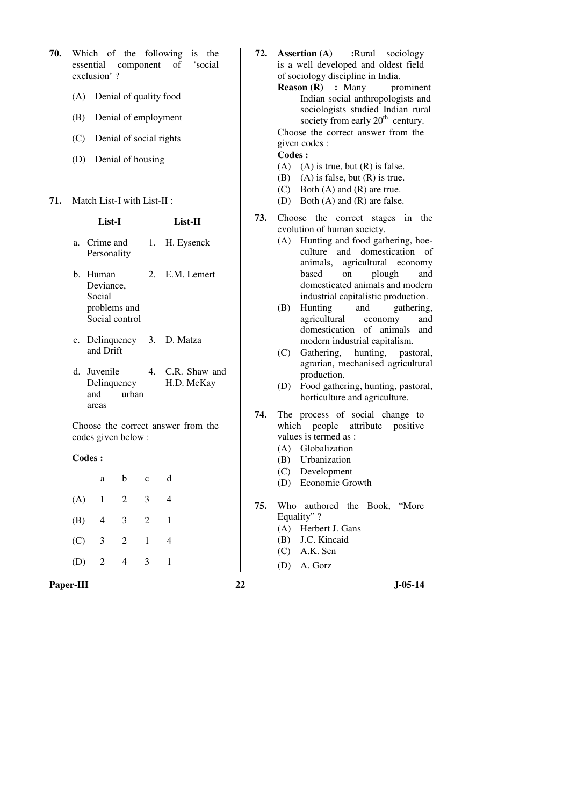| 70. |                                                               | essential component<br>exclusion'? |                                                                                                    |                            | Which of the following is the<br>of<br>'social |                                                                                                        | 72.<br><b>Assertion</b> (A)<br>:Rural<br>sociology<br>is a well developed and oldest field<br>of sociology discipline in India.          |  |  |  |  |
|-----|---------------------------------------------------------------|------------------------------------|----------------------------------------------------------------------------------------------------|----------------------------|------------------------------------------------|--------------------------------------------------------------------------------------------------------|------------------------------------------------------------------------------------------------------------------------------------------|--|--|--|--|
|     | (A)                                                           |                                    |                                                                                                    | Denial of quality food     |                                                |                                                                                                        | <b>Reason (R)</b> : Many<br>prominer<br>Indian social anthropologists an                                                                 |  |  |  |  |
|     | (B)<br>Denial of employment<br>(C)<br>Denial of social rights |                                    |                                                                                                    |                            |                                                |                                                                                                        | sociologists studied Indian rura<br>society from early $20th$ century.                                                                   |  |  |  |  |
|     |                                                               |                                    |                                                                                                    |                            |                                                |                                                                                                        | Choose the correct answer from the<br>given codes :                                                                                      |  |  |  |  |
|     | (D)                                                           |                                    |                                                                                                    | Denial of housing          |                                                |                                                                                                        | Codes:<br>$(A)$ $(A)$ is true, but $(R)$ is false.<br>$(A)$ is false, but $(R)$ is true.<br>(B)<br>Both $(A)$ and $(R)$ are true.<br>(C) |  |  |  |  |
| 71. |                                                               | Match List-I with List-II:         |                                                                                                    |                            |                                                |                                                                                                        | Both (A) and (R) are false.<br>(D)                                                                                                       |  |  |  |  |
|     |                                                               | List-I                             |                                                                                                    |                            | List-II                                        | 73.                                                                                                    | Choose the correct stages in the<br>evolution of human society.                                                                          |  |  |  |  |
|     |                                                               | a. Crime and<br>Personality        |                                                                                                    |                            | 1. H. Eysenck                                  |                                                                                                        | Hunting and food gathering, ho<br>(A)<br>and domestication<br>culture<br>agricultural econom<br>animals,                                 |  |  |  |  |
|     |                                                               | b. Human<br>Deviance,<br>Social    |                                                                                                    |                            | 2. E.M. Lemert                                 |                                                                                                        | based<br>plough<br>on<br>ar<br>domesticated animals and mode<br>industrial capitalistic production                                       |  |  |  |  |
|     | problems and<br>Social control                                |                                    | Hunting<br>and<br>gatherin<br>(B)<br>agricultural<br>economy<br>ar<br>domestication of animals are |                            |                                                |                                                                                                        |                                                                                                                                          |  |  |  |  |
|     | and Drift                                                     |                                    |                                                                                                    | c. Delinquency 3. D. Matza |                                                | modern industrial capitalism.<br>Gathering, hunting, pastora<br>(C)<br>agrarian, mechanised agricultur |                                                                                                                                          |  |  |  |  |
|     |                                                               | d. Juvenile<br>Delinquency<br>and  | urban                                                                                              |                            | 4. C.R. Shaw and<br>H.D. McKay                 |                                                                                                        | production.<br>Food gathering, hunting, pastora<br>(D)<br>horticulture and agriculture.                                                  |  |  |  |  |
|     |                                                               | areas<br>codes given below :       |                                                                                                    |                            | Choose the correct answer from the             | 74.                                                                                                    | The process of social change to<br>attribute positive<br>which people<br>values is termed as :                                           |  |  |  |  |
|     | Codes:                                                        |                                    |                                                                                                    |                            |                                                |                                                                                                        | (A) Globalization<br>Urbanization<br>(B)                                                                                                 |  |  |  |  |
|     |                                                               | a                                  | b                                                                                                  | $\mathbf{C}$               | d                                              |                                                                                                        | (C) Development<br>(D) Economic Growth                                                                                                   |  |  |  |  |
|     | (A)                                                           | $\mathbf{1}$                       | 2                                                                                                  | 3                          | 4                                              | 75.                                                                                                    | Who authored the Book, "More                                                                                                             |  |  |  |  |
|     | (B)                                                           | $\overline{4}$                     | 3                                                                                                  | $\overline{2}$             | $\mathbf{1}$                                   |                                                                                                        | Equality"?                                                                                                                               |  |  |  |  |
|     | (C)                                                           | 3                                  | $\overline{2}$                                                                                     | $\mathbf{1}$               | $\overline{4}$                                 |                                                                                                        | (A)<br>Herbert J. Gans<br>J.C. Kincaid<br>(B)<br>A.K. Sen<br>(C)                                                                         |  |  |  |  |
|     | (D)                                                           | $\sqrt{2}$                         | $\overline{4}$                                                                                     | 3                          | $\mathbf{1}$                                   |                                                                                                        | A. Gorz<br>(D)                                                                                                                           |  |  |  |  |
|     | Paper-III                                                     |                                    |                                                                                                    |                            |                                                | 22                                                                                                     | $J-05-14$                                                                                                                                |  |  |  |  |

- **72. Assertion (A) :**Rural sociology reloped and oldest field discipline in India.
	- **Reads** : Many prominent social anthropologists and gists studied Indian rural from early  $20<sup>th</sup>$  century. correct answer from the

- rue, but  $(R)$  is false.
- alse, but  $(R)$  is true.
- $(A)$  and  $(R)$  are true.
- $(A)$  and  $(R)$  are false.
- correct stages in the numan society.
	- g and food gathering, hoeand domestication of s, agricultural economy on plough and icated animals and modern ial capitalistic production.
	- g and gathering,<br>ural economy and arral economy ication of animals and industrial capitalism.
	- ng, hunting, pastoral, n, mechanised agricultural tion.
	- athering, hunting, pastoral, lture and agriculture.
- of social change to ble attribute positive ned as :
	- zation
	- zation
	- pment
	- nic Growth
- red the Book, "More
	- I. Gans
	- ncaid
	-
	-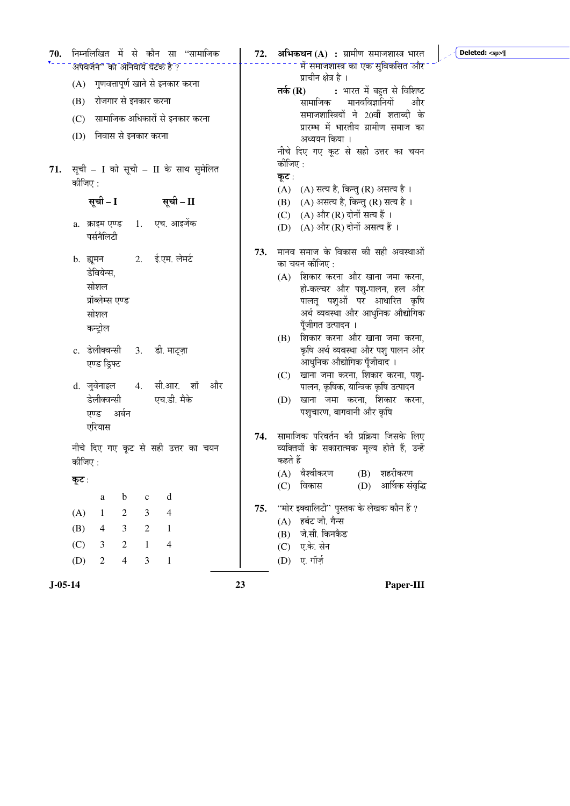| 70.       | निम्नलिखित में से कौन सा ''सामाजिक                        |                | 72. | <b>अभिकथन (A) :</b> ग्रामीण समाजशास्त्र भारत<br>Deleted: <sp></sp>       |
|-----------|-----------------------------------------------------------|----------------|-----|--------------------------------------------------------------------------|
|           | अपवर्जन" का अनिवार्य घटक है ?                             |                |     | में समाजशास्त्र का एक सुविकसित और                                        |
|           | (A) गुणवत्तापूर्ण खाने से इनकार करना                      |                |     | प्राचीन क्षेत्र है ।<br>: भारत में बहुत से विशिष्ट<br>तर्क $(R)$         |
|           | रोजगार से इनकार करना<br>(B)                               |                |     | मानवविज्ञानियों<br>सामाजिक<br>और                                         |
|           | (C) सामाजिक अधिकारों से इनकार करना                        |                |     | समाजशास्त्रियों ने 20वीं शताब्दी के                                      |
|           | (D) निवास से इनकार करना                                   |                |     | प्रारम्भ में भारतीय ग्रामीण समाज का                                      |
|           |                                                           |                |     | अध्ययन किया ।<br>नीचे दिए गए कूट से सही उत्तर का चयन                     |
|           |                                                           |                |     | कीजिए :                                                                  |
| 71.       | सूची - I को सूची - II के साथ सुमेलित<br>कीजिए :           |                |     | कूट :                                                                    |
|           |                                                           |                |     | (A) (A) सत्य है, किन्तु (R) असत्य है।                                    |
|           | सूची – I<br>सूची – II                                     |                |     | (B) (A) असत्य है, किन्तु (R) सत्य है।                                    |
|           | 1. एच. आइजेंक<br>a.   क्राइम एण्ड                         |                |     | (C) $(A)$ और (R) दोनों सत्य हैं ।<br>(D) (A) और (R) दोनों असत्य हैं ।    |
|           | पर्सनैलिटी                                                |                |     |                                                                          |
|           | 2. ई.एम. लेमर्ट                                           |                | 73. | मानव समाज के विकास की सही अवस्थाओं                                       |
|           | b. ह्यूमन<br>डेवियेन्स,                                   |                |     | का चयन कीजिए :                                                           |
|           | सोशल                                                      |                |     | (A) शिकार करना और खाना जमा करना,<br>हो-कल्चर और पशु-पालन, हल और          |
|           | प्रॉब्लेम्स एण्ड                                          |                |     | पालतू पशुओं पर आधारित कृषि                                               |
|           | सोशल                                                      |                |     | अर्थ व्यवस्था और आधुनिक औद्योगिक                                         |
|           | कन्ट्रोल                                                  |                |     | पूँजीगत उत्पादन ।                                                        |
|           | c. डेलीक्वन्सी 3.                                         | डी. माट्ज़ा    |     | शिकार करना और खाना जमा करना,<br>(B)<br>कृषि अर्थ व्यवस्था और पशु पालन और |
|           | एण्ड ड्रिफ्ट                                              |                |     | आधुनिक औद्योगिक पूँजीवाद ।                                               |
|           |                                                           |                |     | (C) खाना जमा करना, शिकार करना, पशु-                                      |
|           | d. जुवेनाइल            4.     सी.आर.     शॉ               | और             |     | पालन, कृषिक, यान्त्रिक कृषि उत्पादन                                      |
|           | डेलीक्वन्सी                                               | एच.डी. मैके    |     | खाना जमा करना, शिकार करना,<br>(D)                                        |
|           | एण्ड अर्बन                                                |                |     | पशुचारण, बागवानी और कृषि                                                 |
|           | एरियास                                                    |                | 74. | सामाजिक परिवर्तन की प्रक्रिया जिसके लिए                                  |
|           | नीचे दिए गए कूट से सही उत्तर का चयन                       |                |     | व्यक्तियों के सकारात्मक मूल्य होते हैं, उन्हें                           |
|           | कीजिए :                                                   |                |     | कहते हैं                                                                 |
|           | कूट :                                                     |                |     | (A) वैश्वीकरण<br>(B) शहरीकरण<br>आर्थिक संवृद्धि<br>विकास<br>(D)<br>(C)   |
|           | $\mathbf b$<br>$\mathbf{a}$<br>$\mathbf c$                | $\mathbf d$    |     |                                                                          |
|           | (A)<br>3<br>$\mathbf{1}$<br>$\overline{c}$                | $\overline{4}$ | 75. | ''मोर इक्वालिटी'' पुस्तक के लेखक कौन हैं ?                               |
|           | $\overline{2}$<br>(B)<br>$\mathfrak{Z}$<br>$\overline{4}$ | $\mathbf{1}$   |     | हर्बट जी. गैन्स<br>(A)<br>जे.सी. किनकैड                                  |
|           | (C)<br>$\overline{2}$<br>3<br>$\mathbf{1}$                | 4              |     | (B)<br>ए.के. सेन<br>(C)                                                  |
|           | $\mathfrak{Z}$<br>(D)<br>$\overline{2}$<br>$\overline{4}$ | $\mathbf{1}$   |     | ए. गॉर्ज़<br>(D)                                                         |
|           |                                                           |                |     |                                                                          |
| $J-05-14$ |                                                           | 23             |     | Paper-III                                                                |